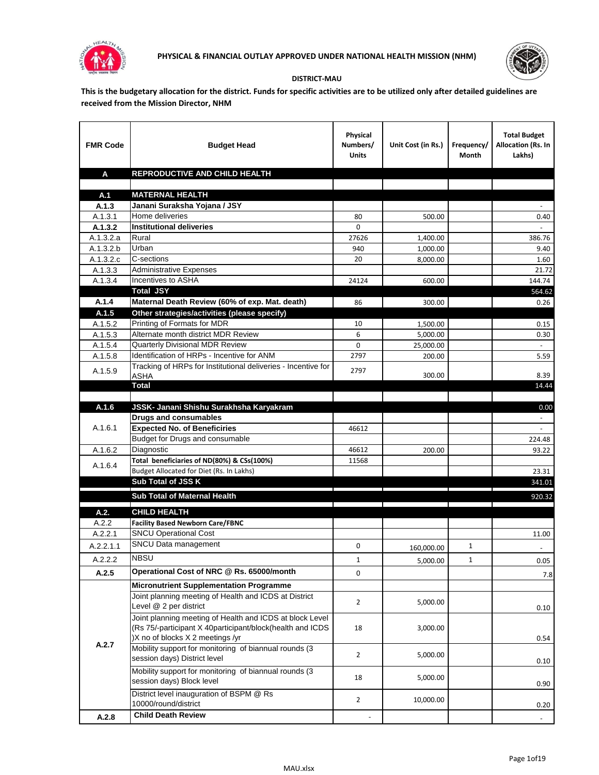



## **DISTRICT-MAU**

**This is the budgetary allocation for the district. Funds for specific activities are to be utilized only after detailed guidelines are received from the Mission Director, NHM**

| <b>FMR Code</b>    | <b>Budget Head</b>                                                                                                                                        | Physical<br>Numbers/<br><b>Units</b> | Unit Cost (in Rs.) | Frequency/<br>Month | <b>Total Budget</b><br><b>Allocation (Rs. In</b><br>Lakhs) |
|--------------------|-----------------------------------------------------------------------------------------------------------------------------------------------------------|--------------------------------------|--------------------|---------------------|------------------------------------------------------------|
| A                  | REPRODUCTIVE AND CHILD HEALTH                                                                                                                             |                                      |                    |                     |                                                            |
|                    |                                                                                                                                                           |                                      |                    |                     |                                                            |
| A.1                | <b>MATERNAL HEALTH</b>                                                                                                                                    |                                      |                    |                     |                                                            |
| A.1.3              | Janani Suraksha Yojana / JSY                                                                                                                              |                                      |                    |                     |                                                            |
| A.1.3.1<br>A.1.3.2 | Home deliveries<br><b>Institutional deliveries</b>                                                                                                        | 80<br>0                              | 500.00             |                     | 0.40                                                       |
| A.1.3.2.a          | Rural                                                                                                                                                     | 27626                                | 1,400.00           |                     | 386.76                                                     |
| A.1.3.2.b          | Urban                                                                                                                                                     | 940                                  | 1,000.00           |                     | 9.40                                                       |
| A.1.3.2.c          | C-sections                                                                                                                                                | 20                                   | 8,000.00           |                     | 1.60                                                       |
| A.1.3.3            | <b>Administrative Expenses</b>                                                                                                                            |                                      |                    |                     | 21.72                                                      |
| A.1.3.4            | Incentives to ASHA                                                                                                                                        | 24124                                | 600.00             |                     | 144.74                                                     |
|                    | <b>Total JSY</b>                                                                                                                                          |                                      |                    |                     | 564.62                                                     |
| A.1.4              | Maternal Death Review (60% of exp. Mat. death)                                                                                                            | 86                                   | 300.00             |                     | 0.26                                                       |
| A.1.5              | Other strategies/activities (please specify)                                                                                                              |                                      |                    |                     |                                                            |
| A.1.5.2            | Printing of Formats for MDR                                                                                                                               | 10                                   | 1,500.00           |                     | 0.15                                                       |
| A.1.5.3            | Alternate month district MDR Review                                                                                                                       | 6                                    | 5,000.00           |                     | 0.30                                                       |
| A.1.5.4            | <b>Quarterly Divisional MDR Review</b>                                                                                                                    | 0                                    | 25,000.00          |                     |                                                            |
| A.1.5.8            | Identification of HRPs - Incentive for ANM                                                                                                                | 2797                                 | 200.00             |                     | 5.59                                                       |
| A.1.5.9            | Tracking of HRPs for Institutional deliveries - Incentive for<br>ASHA                                                                                     | 2797                                 | 300.00             |                     | 8.39                                                       |
|                    | <b>Total</b>                                                                                                                                              |                                      |                    |                     | 14.44                                                      |
|                    |                                                                                                                                                           |                                      |                    |                     |                                                            |
| A.1.6              | JSSK- Janani Shishu Surakhsha Karyakram                                                                                                                   |                                      |                    |                     | 0.00                                                       |
|                    | <b>Drugs and consumables</b>                                                                                                                              |                                      |                    |                     |                                                            |
| A.1.6.1            | <b>Expected No. of Beneficiries</b>                                                                                                                       | 46612                                |                    |                     |                                                            |
|                    | Budget for Drugs and consumable                                                                                                                           |                                      |                    |                     | 224.48                                                     |
| A.1.6.2            | Diagnostic<br>Total beneficiaries of ND(80%) & CSs(100%)                                                                                                  | 46612                                | 200.00             |                     | 93.22                                                      |
| A.1.6.4            | Budget Allocated for Diet (Rs. In Lakhs)                                                                                                                  | 11568                                |                    |                     | 23.31                                                      |
|                    | Sub Total of JSS K                                                                                                                                        |                                      |                    |                     | 341.01                                                     |
|                    |                                                                                                                                                           |                                      |                    |                     |                                                            |
|                    | Sub Total of Maternal Health                                                                                                                              |                                      |                    |                     | 920.32                                                     |
| A.2.               | <b>CHILD HEALTH</b>                                                                                                                                       |                                      |                    |                     |                                                            |
| A.2.2              | <b>Facility Based Newborn Care/FBNC</b>                                                                                                                   |                                      |                    |                     |                                                            |
| A.2.2.1            | <b>SNCU Operational Cost</b>                                                                                                                              |                                      |                    |                     | 11.00                                                      |
| A.2.2.1.1          | SNCU Data management                                                                                                                                      | 0                                    | 160,000.00         | $\mathbf{1}$        |                                                            |
| A.2.2.2            | <b>NBSU</b>                                                                                                                                               | $\mathbf{1}$                         | 5,000.00           | 1                   | 0.05                                                       |
| A.2.5              | Operational Cost of NRC @ Rs. 65000/month                                                                                                                 | $\mathbf 0$                          |                    |                     | $7.8$                                                      |
|                    | <b>Micronutrient Supplementation Programme</b>                                                                                                            |                                      |                    |                     |                                                            |
|                    | Joint planning meeting of Health and ICDS at District<br>Level @ 2 per district                                                                           | $\overline{2}$                       | 5,000.00           |                     | 0.10                                                       |
|                    | Joint planning meeting of Health and ICDS at block Level<br>(Rs 75/-participant X 40participant/block(health and ICDS<br>)X no of blocks X 2 meetings /yr | 18                                   | 3,000.00           |                     | 0.54                                                       |
| A.2.7              | Mobility support for monitoring of biannual rounds (3<br>session days) District level                                                                     | $\overline{2}$                       | 5,000.00           |                     | 0.10                                                       |
|                    | Mobility support for monitoring of biannual rounds (3<br>session days) Block level                                                                        | 18                                   | 5,000.00           |                     | 0.90                                                       |
|                    | District level inauguration of BSPM @ Rs<br>10000/round/district                                                                                          | $\overline{2}$                       | 10,000.00          |                     | 0.20                                                       |
| A.2.8              | <b>Child Death Review</b>                                                                                                                                 |                                      |                    |                     | $\sim$                                                     |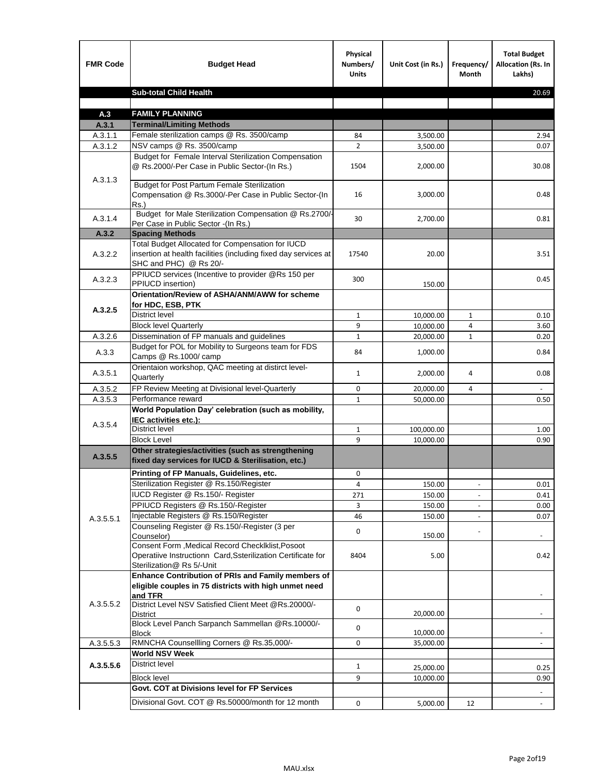| <b>FMR Code</b>    | <b>Budget Head</b>                                                                                                                             | Physical<br>Numbers/<br><b>Units</b> | Unit Cost (in Rs.)   | Frequency/<br>Month      | <b>Total Budget</b><br><b>Allocation (Rs. In</b><br>Lakhs) |
|--------------------|------------------------------------------------------------------------------------------------------------------------------------------------|--------------------------------------|----------------------|--------------------------|------------------------------------------------------------|
|                    | <b>Sub-total Child Health</b>                                                                                                                  |                                      |                      |                          | 20.69                                                      |
|                    |                                                                                                                                                |                                      |                      |                          |                                                            |
| A.3                | <b>FAMILY PLANNING</b>                                                                                                                         |                                      |                      |                          |                                                            |
| A.3.1              | <b>Terminal/Limiting Methods</b><br>Female sterilization camps @ Rs. 3500/camp                                                                 | 84                                   |                      |                          | 2.94                                                       |
| A.3.1.1<br>A.3.1.2 | NSV camps @ Rs. 3500/camp                                                                                                                      | $\overline{2}$                       | 3,500.00<br>3,500.00 |                          | 0.07                                                       |
|                    | Budget for Female Interval Sterilization Compensation<br>@ Rs.2000/-Per Case in Public Sector-(In Rs.)                                         | 1504                                 | 2,000.00             |                          | 30.08                                                      |
| A.3.1.3            | <b>Budget for Post Partum Female Sterilization</b><br>Compensation @ Rs.3000/-Per Case in Public Sector-(In<br>$Rs.$ )                         | 16                                   | 3,000.00             |                          | 0.48                                                       |
| A.3.1.4            | Budget for Male Sterilization Compensation @ Rs.2700/-<br>Per Case in Public Sector -(In Rs.)                                                  | 30                                   | 2,700.00             |                          | 0.81                                                       |
| A.3.2              | <b>Spacing Methods</b>                                                                                                                         |                                      |                      |                          |                                                            |
| A.3.2.2            | Total Budget Allocated for Compensation for IUCD<br>insertion at health facilities (including fixed day services at<br>SHC and PHC) @ Rs 20/-  | 17540                                | 20.00                |                          | 3.51                                                       |
| A.3.2.3            | PPIUCD services (Incentive to provider @Rs 150 per<br>PPIUCD insertion)                                                                        | 300                                  | 150.00               |                          | 0.45                                                       |
| A.3.2.5            | Orientation/Review of ASHA/ANM/AWW for scheme<br>for HDC, ESB, PTK                                                                             |                                      |                      |                          |                                                            |
|                    | <b>District level</b>                                                                                                                          | $\mathbf{1}$                         | 10,000.00            | $\mathbf{1}$             | 0.10                                                       |
|                    | <b>Block level Quarterly</b>                                                                                                                   | 9                                    | 10,000.00            | 4                        | 3.60                                                       |
| A.3.2.6            | Dissemination of FP manuals and guidelines                                                                                                     | $\mathbf{1}$                         | 20,000.00            | $\mathbf{1}$             | 0.20                                                       |
| A.3.3              | Budget for POL for Mobility to Surgeons team for FDS<br>Camps @ Rs.1000/camp                                                                   | 84                                   | 1,000.00             |                          | 0.84                                                       |
| A.3.5.1            | Orientaion workshop, QAC meeting at distirct level-<br>Quarterly                                                                               | $\mathbf{1}$                         | 2,000.00             | 4                        | 0.08                                                       |
| A.3.5.2            | FP Review Meeting at Divisional level-Quarterly                                                                                                | 0                                    | 20,000.00            | 4                        |                                                            |
| A.3.5.3            | Performance reward                                                                                                                             | $\mathbf{1}$                         | 50,000.00            |                          | 0.50                                                       |
| A.3.5.4            | World Population Day' celebration (such as mobility,<br>IEC activities etc.):                                                                  |                                      |                      |                          |                                                            |
|                    | District level                                                                                                                                 | $\mathbf{1}$                         | 100,000.00           |                          | 1.00                                                       |
|                    | <b>Block Level</b><br>Other strategies/activities (such as strengthening                                                                       | 9                                    | 10.000.00            |                          | 0.90                                                       |
| A.3.5.5            | fixed day services for IUCD & Sterilisation, etc.)                                                                                             |                                      |                      |                          |                                                            |
|                    | Printing of FP Manuals, Guidelines, etc.                                                                                                       | 0                                    |                      |                          |                                                            |
|                    | Sterilization Register @ Rs.150/Register                                                                                                       | 4                                    | 150.00               | $\overline{\phantom{a}}$ | 0.01                                                       |
|                    | IUCD Register @ Rs.150/- Register                                                                                                              | 271                                  | 150.00               |                          | 0.41                                                       |
|                    | PPIUCD Registers @ Rs.150/-Register                                                                                                            | 3                                    | 150.00               |                          | 0.00                                                       |
| A.3.5.5.1          | Injectable Registers @ Rs.150/Register<br>Counseling Register @ Rs.150/-Register (3 per                                                        | 46                                   | 150.00               |                          | 0.07                                                       |
|                    | Counselor)                                                                                                                                     | 0                                    | 150.00               |                          |                                                            |
|                    | Consent Form , Medical Record CheckIklist, Posoot<br>Operatiive Instructionn Card, Ssterilization Certificate for<br>Sterilization@ Rs 5/-Unit | 8404                                 | 5.00                 |                          | 0.42                                                       |
|                    | Enhance Contribution of PRIs and Family members of<br>eligible couples in 75 districts with high unmet need<br>and TFR                         |                                      |                      |                          |                                                            |
| A.3.5.5.2          | District Level NSV Satisfied Client Meet @Rs.20000/-<br>District                                                                               | 0                                    | 20,000.00            |                          |                                                            |
|                    | Block Level Panch Sarpanch Sammellan @Rs.10000/-<br>Block                                                                                      | 0                                    | 10,000.00            |                          |                                                            |
| A.3.5.5.3          | RMNCHA Counsellling Corners @ Rs.35,000/-                                                                                                      | 0                                    | 35,000.00            |                          |                                                            |
|                    | <b>World NSV Week</b>                                                                                                                          |                                      |                      |                          |                                                            |
| A.3.5.5.6          | <b>District level</b>                                                                                                                          | $\mathbf{1}$                         | 25,000.00            |                          | 0.25                                                       |
|                    | <b>Block level</b>                                                                                                                             | 9                                    | 10,000.00            |                          | 0.90                                                       |
|                    | Govt. COT at Divisions level for FP Services                                                                                                   |                                      |                      |                          |                                                            |
|                    | Divisional Govt. COT @ Rs.50000/month for 12 month                                                                                             | 0                                    | 5,000.00             | 12                       | $\blacksquare$                                             |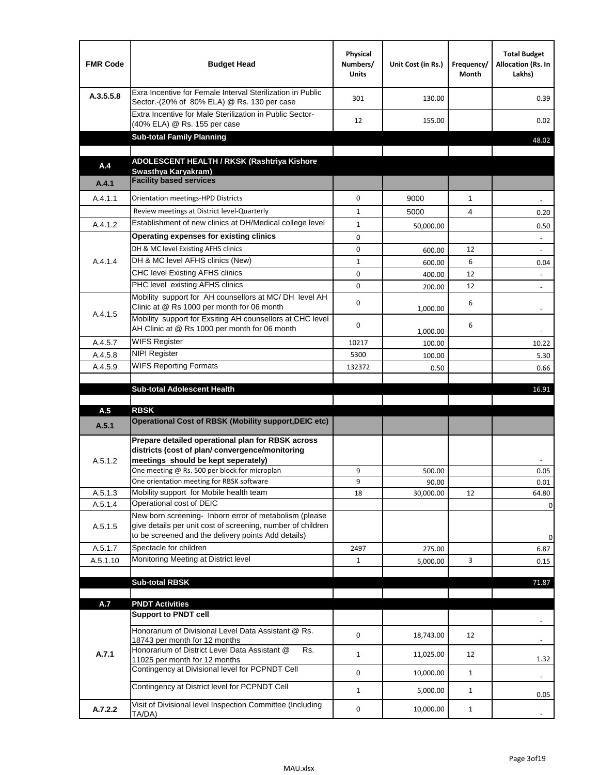| <b>FMR Code</b>    | <b>Budget Head</b>                                                                                                                                                                          | Physical<br>Numbers/<br><b>Units</b> | Unit Cost (in Rs.) | Frequency/<br><b>Month</b> | <b>Total Budget</b><br>Allocation (Rs. In<br>Lakhs) |
|--------------------|---------------------------------------------------------------------------------------------------------------------------------------------------------------------------------------------|--------------------------------------|--------------------|----------------------------|-----------------------------------------------------|
| A.3.5.5.8          | Exra Incentive for Female Interval Sterilization in Public<br>Sector.-(20% of 80% ELA) @ Rs. 130 per case                                                                                   | 301                                  | 130.00             |                            | 0.39                                                |
|                    | Extra Incentive for Male Sterilization in Public Sector-<br>(40% ELA) @ Rs. 155 per case                                                                                                    | 12                                   | 155.00             |                            | 0.02                                                |
|                    | <b>Sub-total Family Planning</b>                                                                                                                                                            |                                      |                    |                            | 48.02                                               |
|                    | ADOLESCENT HEALTH / RKSK (Rashtriya Kishore                                                                                                                                                 |                                      |                    |                            |                                                     |
| A.4                | Swasthya Karyakram)                                                                                                                                                                         |                                      |                    |                            |                                                     |
| A.4.1              | <b>Facility based services</b>                                                                                                                                                              |                                      |                    |                            |                                                     |
| A.4.1.1            | Orientation meetings-HPD Districts                                                                                                                                                          | $\Omega$                             | 9000               | $\mathbf{1}$               |                                                     |
|                    | Review meetings at District level-Quarterly                                                                                                                                                 | $\mathbf{1}$                         | 5000               | 4                          | 0.20                                                |
| A.4.1.2            | Establishment of new clinics at DH/Medical college level                                                                                                                                    | $\mathbf{1}$                         | 50,000.00          |                            | 0.50                                                |
|                    | Operating expenses for existing clinics                                                                                                                                                     | 0                                    |                    |                            |                                                     |
|                    | DH & MC level Existing AFHS clinics                                                                                                                                                         | 0                                    | 600.00             | 12                         |                                                     |
| A.4.1.4            | DH & MC level AFHS clinics (New)                                                                                                                                                            | $\mathbf{1}$                         | 600.00             | 6                          | 0.04                                                |
|                    | CHC level Existing AFHS clinics                                                                                                                                                             | 0                                    | 400.00             | 12                         |                                                     |
|                    | PHC level existing AFHS clinics                                                                                                                                                             | $\Omega$                             | 200.00             | 12                         | $\overline{\phantom{a}}$                            |
| A.4.1.5            | Mobility support for AH counsellors at MC/DH level AH<br>Clinic at @ Rs 1000 per month for 06 month                                                                                         | 0                                    | 1,000.00           | 6                          |                                                     |
|                    | Mobility support for Exsiting AH counsellors at CHC level<br>AH Clinic at @ Rs 1000 per month for 06 month                                                                                  | 0                                    | 1,000.00           | 6                          | $\overline{\phantom{a}}$                            |
| A.4.5.7            | <b>WIFS Register</b>                                                                                                                                                                        | 10217                                | 100.00             |                            | 10.22                                               |
| A.4.5.8            | <b>NIPI Register</b>                                                                                                                                                                        | 5300                                 | 100.00             |                            | 5.30                                                |
| A.4.5.9            | <b>WIFS Reporting Formats</b>                                                                                                                                                               | 132372                               | 0.50               |                            | 0.66                                                |
|                    | <b>Sub-total Adolescent Health</b>                                                                                                                                                          |                                      |                    |                            | 16.91                                               |
| A.5                | <b>RBSK</b>                                                                                                                                                                                 |                                      |                    |                            |                                                     |
| A.5.1              | <b>Operational Cost of RBSK (Mobility support, DEIC etc)</b>                                                                                                                                |                                      |                    |                            |                                                     |
| A.5.1.2            | Prepare detailed operational plan for RBSK across<br>districts (cost of plan/convergence/monitoring<br>meetings should be kept seperately)<br>One meeting @ Rs. 500 per block for microplan | 9                                    | 500.00             |                            | 0.05                                                |
|                    | One orientation meeting for RBSK software<br>Mobility support for Mobile health team                                                                                                        | 9                                    | 90.00              |                            | 0.01                                                |
| A.5.1.3<br>A.5.1.4 | Operational cost of DEIC                                                                                                                                                                    | 18                                   | 30,000.00          | 12                         | 64.80<br>$\mathbf 0$                                |
| A.5.1.5            | New born screening- Inborn error of metabolism (please<br>give details per unit cost of screening, number of children<br>to be screened and the delivery points Add details)                |                                      |                    |                            | $\mathbf 0$                                         |
| A.5.1.7            | Spectacle for children                                                                                                                                                                      | 2497                                 | 275.00             |                            | 6.87                                                |
| A.5.1.10           | Monitoring Meeting at District level                                                                                                                                                        | $\mathbf{1}$                         | 5,000.00           | 3                          | 0.15                                                |
|                    |                                                                                                                                                                                             |                                      |                    |                            |                                                     |
|                    | <b>Sub-total RBSK</b>                                                                                                                                                                       |                                      |                    |                            | 71.87                                               |
| A.7                | <b>PNDT Activities</b>                                                                                                                                                                      |                                      |                    |                            |                                                     |
|                    | <b>Support to PNDT cell</b>                                                                                                                                                                 |                                      |                    |                            |                                                     |
|                    | Honorarium of Divisional Level Data Assistant @ Rs.<br>18743 per month for 12 months                                                                                                        | 0                                    | 18,743.00          | 12                         |                                                     |
| A.7.1              | Honorarium of District Level Data Assistant @<br>Rs.<br>11025 per month for 12 months                                                                                                       | $\mathbf{1}$                         | 11,025.00          | 12                         | 1.32                                                |
|                    | Contingency at Divisional level for PCPNDT Cell                                                                                                                                             | 0                                    | 10,000.00          | $\mathbf{1}$               | $\overline{\phantom{a}}$                            |
|                    | Contingency at District level for PCPNDT Cell                                                                                                                                               | $\mathbf{1}$                         | 5,000.00           | $\mathbf{1}$               | 0.05                                                |
| A.7.2.2            | Visit of Divisional level Inspection Committee (Including<br>TA/DA)                                                                                                                         | 0                                    | 10,000.00          | $\mathbf{1}$               |                                                     |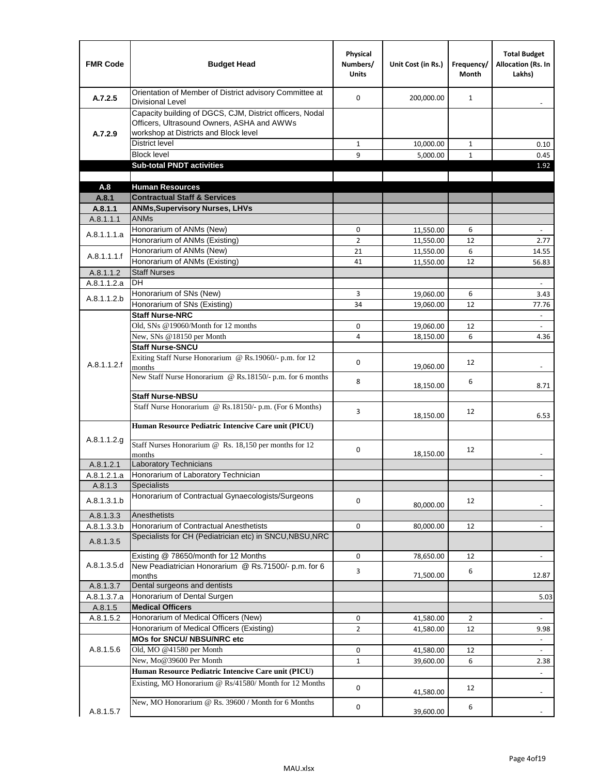| <b>FMR Code</b> | <b>Budget Head</b>                                                                                                                              | Physical<br>Numbers/<br><b>Units</b> | Unit Cost (in Rs.) | Frequency/<br>Month | <b>Total Budget</b><br>Allocation (Rs. In<br>Lakhs) |
|-----------------|-------------------------------------------------------------------------------------------------------------------------------------------------|--------------------------------------|--------------------|---------------------|-----------------------------------------------------|
| A.7.2.5         | Orientation of Member of District advisory Committee at<br>Divisional Level                                                                     | $\Omega$                             | 200,000.00         | $\mathbf{1}$        | $\overline{\phantom{a}}$                            |
| A.7.2.9         | Capacity building of DGCS, CJM, District officers, Nodal<br>Officers, Ultrasound Owners, ASHA and AWWs<br>workshop at Districts and Block level |                                      |                    |                     |                                                     |
|                 | <b>District level</b>                                                                                                                           | 1                                    | 10,000.00          | $\mathbf{1}$        | 0.10                                                |
|                 | <b>Block level</b>                                                                                                                              | 9                                    | 5,000.00           | $\mathbf{1}$        | 0.45                                                |
|                 | <b>Sub-total PNDT activities</b>                                                                                                                |                                      |                    |                     | 1.92                                                |
|                 |                                                                                                                                                 |                                      |                    |                     |                                                     |
| A.8             | <b>Human Resources</b>                                                                                                                          |                                      |                    |                     |                                                     |
| A.8.1           | <b>Contractual Staff &amp; Services</b>                                                                                                         |                                      |                    |                     |                                                     |
| A.8.1.1         | <b>ANMs, Supervisory Nurses, LHVs</b>                                                                                                           |                                      |                    |                     |                                                     |
| A.8.1.1.1       | <b>ANMs</b>                                                                                                                                     |                                      |                    |                     |                                                     |
| A.8.1.1.1.a     | Honorarium of ANMs (New)                                                                                                                        | 0                                    | 11,550.00          | 6                   | $\overline{\phantom{a}}$                            |
|                 | Honorarium of ANMs (Existing)                                                                                                                   | $\overline{2}$                       | 11,550.00          | 12                  | 2.77                                                |
| A.8.1.1.1.f     | Honorarium of ANMs (New)                                                                                                                        | 21                                   | 11,550.00          | 6                   | 14.55                                               |
|                 | Honorarium of ANMs (Existing)                                                                                                                   | 41                                   | 11,550.00          | 12                  | 56.83                                               |
| A.8.1.1.2       | <b>Staff Nurses</b>                                                                                                                             |                                      |                    |                     |                                                     |
| A.8.1.1.2.a     | <b>DH</b>                                                                                                                                       |                                      |                    |                     | $\blacksquare$                                      |
| A.8.1.1.2.b     | Honorarium of SNs (New)                                                                                                                         | 3                                    | 19,060.00          | 6                   | 3.43                                                |
|                 | Honorarium of SNs (Existing)                                                                                                                    | 34                                   | 19,060.00          | 12                  | 77.76                                               |
|                 | <b>Staff Nurse-NRC</b>                                                                                                                          |                                      |                    |                     | $\omega$                                            |
|                 | Old, SNs @19060/Month for 12 months                                                                                                             | 0                                    | 19,060.00          | 12                  | $\overline{\phantom{a}}$                            |
|                 | New, SNs @18150 per Month                                                                                                                       | 4                                    | 18,150.00          | 6                   | 4.36                                                |
|                 | <b>Staff Nurse-SNCU</b>                                                                                                                         |                                      |                    |                     |                                                     |
| A.8.1.1.2.f     | Exiting Staff Nurse Honorarium @ Rs.19060/- p.m. for 12<br>months                                                                               | 0                                    | 19,060.00          | 12                  | $\overline{\phantom{a}}$                            |
|                 | New Staff Nurse Honorarium @ Rs.18150/- p.m. for 6 months                                                                                       | 8                                    | 18,150.00          | 6                   | 8.71                                                |
|                 | <b>Staff Nurse-NBSU</b>                                                                                                                         |                                      |                    |                     |                                                     |
|                 | Staff Nurse Honorarium @ Rs.18150/- p.m. (For 6 Months)                                                                                         | 3                                    | 18,150.00          | 12                  | 6.53                                                |
|                 | Human Resource Pediatric Intencive Care unit (PICU)                                                                                             |                                      |                    |                     |                                                     |
| A.8.1.1.2.g     | Staff Nurses Honorarium @ $\overline{Rs. 18,150}$ per months for 12<br>months                                                                   | 0                                    | 18,150.00          | 12                  |                                                     |
| A.8.1.2.1       | <b>Laboratory Technicians</b>                                                                                                                   |                                      |                    |                     |                                                     |
| A.8.1.2.1.a     | Honorarium of Laboratory Technician                                                                                                             |                                      |                    |                     |                                                     |
| A.8.1.3         | <b>Specialists</b>                                                                                                                              |                                      |                    |                     |                                                     |
|                 | Honorarium of Contractual Gynaecologists/Surgeons                                                                                               |                                      |                    |                     |                                                     |
| A.8.1.3.1.b     |                                                                                                                                                 | 0                                    | 80,000.00          | 12                  |                                                     |
| A.8.1.3.3       | Anesthetists                                                                                                                                    |                                      |                    |                     |                                                     |
| A.8.1.3.3.b     | Honorarium of Contractual Anesthetists                                                                                                          | 0                                    | 80,000.00          | 12                  |                                                     |
| A.8.1.3.5       | Specialists for CH (Pediatrician etc) in SNCU, NBSU, NRC                                                                                        |                                      |                    |                     |                                                     |
|                 | Existing @ 78650/month for 12 Months                                                                                                            | 0                                    | 78,650.00          | 12                  | $\Box$                                              |
| A.8.1.3.5.d     | New Peadiatrician Honorarium @ Rs.71500/- p.m. for 6<br>months                                                                                  | 3                                    | 71,500.00          | 6                   | 12.87                                               |
| A.8.1.3.7       | Dental surgeons and dentists                                                                                                                    |                                      |                    |                     |                                                     |
| A.8.1.3.7.a     | Honorarium of Dental Surgen                                                                                                                     |                                      |                    |                     | 5.03                                                |
| A.8.1.5         | <b>Medical Officers</b>                                                                                                                         |                                      |                    |                     |                                                     |
| A.8.1.5.2       | Honorarium of Medical Officers (New)                                                                                                            | 0                                    | 41,580.00          | $\overline{2}$      | $\frac{1}{2}$                                       |
|                 | Honorarium of Medical Officers (Existing)                                                                                                       | $\overline{2}$                       | 41,580.00          | 12                  | 9.98                                                |
|                 | MOs for SNCU/ NBSU/NRC etc                                                                                                                      |                                      |                    |                     |                                                     |
| A.8.1.5.6       | Old, MO @41580 per Month                                                                                                                        | 0                                    | 41,580.00          | 12                  | $\blacksquare$                                      |
|                 | New, Mo@39600 Per Month                                                                                                                         | $\mathbf{1}$                         | 39,600.00          | 6                   | 2.38                                                |
|                 | Human Resource Pediatric Intencive Care unit (PICU)                                                                                             |                                      |                    |                     |                                                     |
|                 | Existing, MO Honorarium @ Rs/41580/ Month for 12 Months                                                                                         | $\mathbf 0$                          | 41,580.00          | 12                  |                                                     |
| A.8.1.5.7       | New, MO Honorarium @ Rs. 39600 / Month for 6 Months                                                                                             | 0                                    | 39,600.00          | 6                   |                                                     |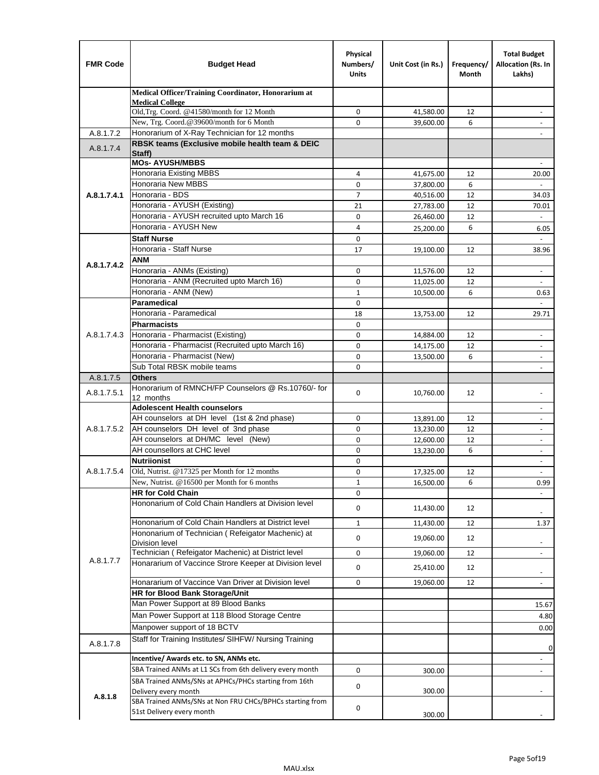| <b>FMR Code</b> | <b>Budget Head</b>                                                              | Physical<br>Numbers/<br><b>Units</b> | Unit Cost (in Rs.) | Frequency/<br>Month | <b>Total Budget</b><br>Allocation (Rs. In<br>Lakhs) |
|-----------------|---------------------------------------------------------------------------------|--------------------------------------|--------------------|---------------------|-----------------------------------------------------|
|                 | Medical Officer/Training Coordinator, Honorarium at                             |                                      |                    |                     |                                                     |
|                 | <b>Medical College</b><br>Old, Trg. Coord. @41580/month for 12 Month            | $\mathbf 0$                          | 41,580.00          | 12                  |                                                     |
|                 | New, Trg. Coord.@39600/month for 6 Month                                        | $\Omega$                             | 39,600.00          | 6                   |                                                     |
| A.8.1.7.2       | Honorarium of X-Ray Technician for 12 months                                    |                                      |                    |                     |                                                     |
| A.8.1.7.4       | RBSK teams (Exclusive mobile health team & DEIC<br>Staff)                       |                                      |                    |                     |                                                     |
|                 | <b>MOs- AYUSH/MBBS</b>                                                          |                                      |                    |                     |                                                     |
|                 | <b>Honoraria Existing MBBS</b>                                                  | 4                                    | 41,675.00          | 12                  | 20.00                                               |
|                 | Honoraria New MBBS                                                              | 0                                    | 37,800.00          | 6                   | $\blacksquare$                                      |
| A.8.1.7.4.1     | Honoraria - BDS                                                                 | $\overline{7}$                       | 40,516.00          | 12                  | 34.03                                               |
|                 | Honoraria - AYUSH (Existing)                                                    | 21                                   | 27,783.00          | 12                  | 70.01                                               |
|                 | Honoraria - AYUSH recruited upto March 16                                       | $\Omega$                             | 26,460.00          | 12                  |                                                     |
|                 | Honoraria - AYUSH New                                                           | 4                                    | 25,200.00          | 6                   | 6.05                                                |
|                 | <b>Staff Nurse</b><br>Honoraria - Staff Nurse                                   | $\Omega$<br>17                       |                    | 12                  |                                                     |
|                 | <b>ANM</b>                                                                      |                                      | 19,100.00          |                     | 38.96                                               |
| A.8.1.7.4.2     | Honoraria - ANMs (Existing)                                                     | $\mathbf 0$                          | 11,576.00          | 12                  | $\blacksquare$                                      |
|                 | Honoraria - ANM (Recruited upto March 16)                                       | 0                                    | 11,025.00          | 12                  | $\blacksquare$                                      |
|                 | Honoraria - ANM (New)                                                           | $\mathbf{1}$                         | 10,500.00          | 6                   | 0.63                                                |
|                 | Paramedical                                                                     | $\mathbf 0$                          |                    |                     | $\blacksquare$                                      |
|                 | Honoraria - Paramedical                                                         | 18                                   | 13,753.00          | 12                  | 29.71                                               |
|                 | <b>Pharmacists</b>                                                              | $\mathbf 0$                          |                    |                     |                                                     |
| A.8.1.7.4.3     | Honoraria - Pharmacist (Existing)                                               | $\mathbf 0$                          | 14,884.00          | 12                  | $\overline{a}$                                      |
|                 | Honoraria - Pharmacist (Recruited upto March 16)                                | 0                                    | 14,175.00          | 12                  | $\blacksquare$                                      |
|                 | Honoraria - Pharmacist (New)                                                    | $\Omega$                             | 13,500.00          | 6                   | $\overline{a}$                                      |
|                 | Sub Total RBSK mobile teams                                                     | $\Omega$                             |                    |                     | $\blacksquare$                                      |
| A.8.1.7.5       | <b>Others</b><br>Honorarium of RMNCH/FP Counselors @ Rs.10760/- for             |                                      |                    |                     |                                                     |
| A.8.1.7.5.1     | 12 months                                                                       | $\mathbf 0$                          | 10,760.00          | 12                  |                                                     |
|                 | <b>Adolescent Health counselors</b>                                             |                                      |                    |                     | $\overline{\phantom{a}}$                            |
|                 | AH counselors at DH level (1st & 2nd phase)                                     | 0                                    | 13,891.00          | 12                  |                                                     |
| A.8.1.7.5.2     | AH counselors DH level of 3nd phase                                             | $\mathbf 0$                          | 13,230.00          | 12                  | $\overline{\phantom{a}}$                            |
|                 | AH counselors at DH/MC level (New)                                              | 0                                    | 12,600.00          | 12                  | $\blacksquare$                                      |
|                 | AH counsellors at CHC level                                                     | $\mathbf 0$                          | 13,230.00          | 6                   | $\overline{\phantom{a}}$                            |
|                 | <b>Nutriionist</b>                                                              | 0                                    |                    |                     | $\overline{\phantom{a}}$                            |
| A.8.1.7.5.4     | Old, Nutrist. @17325 per Month for 12 months                                    | 0                                    | 17,325.00          | 12                  | $\overline{\phantom{a}}$                            |
|                 | New, Nutrist. $@16500$ per Month for 6 months                                   | 1                                    | 16,500.00          | 6                   | 0.99                                                |
|                 | <b>HR for Cold Chain</b><br>Hononarium of Cold Chain Handlers at Division level | 0                                    |                    |                     |                                                     |
|                 |                                                                                 | 0                                    | 11,430.00          | 12                  |                                                     |
|                 | Hononarium of Cold Chain Handlers at District level                             | $\mathbf{1}$                         | 11,430.00          | 12                  | 1.37                                                |
|                 | Hononarium of Technician (Refeigator Machenic) at                               | 0                                    | 19,060.00          | 12                  |                                                     |
|                 | <b>Division level</b><br>Technician (Refeigator Machenic) at District level     | 0                                    | 19,060.00          | 12                  | $\overline{\phantom{a}}$<br>$\blacksquare$          |
| A.8.1.7.7       | Honararium of Vaccince Strore Keeper at Division level                          |                                      |                    |                     |                                                     |
|                 |                                                                                 | 0                                    | 25,410.00          | 12                  | $\overline{\phantom{a}}$                            |
|                 | Honararium of Vaccince Van Driver at Division level                             | 0                                    | 19,060.00          | 12                  | $\overline{\phantom{a}}$                            |
|                 | <b>HR for Blood Bank Storage/Unit</b>                                           |                                      |                    |                     |                                                     |
|                 | Man Power Support at 89 Blood Banks                                             |                                      |                    |                     | 15.67                                               |
|                 | Man Power Support at 118 Blood Storage Centre                                   |                                      |                    |                     | 4.80                                                |
|                 | Manpower support of 18 BCTV                                                     |                                      |                    |                     | 0.00                                                |
| A.8.1.7.8       | Staff for Training Institutes/ SIHFW/ Nursing Training                          |                                      |                    |                     | 0                                                   |
|                 | Incentive/ Awards etc. to SN, ANMs etc.                                         |                                      |                    |                     | $\overline{\phantom{a}}$                            |
|                 | SBA Trained ANMs at L1 SCs from 6th delivery every month                        | 0                                    | 300.00             |                     | $\blacksquare$                                      |
|                 | SBA Trained ANMs/SNs at APHCs/PHCs starting from 16th<br>Delivery every month   | 0                                    | 300.00             |                     |                                                     |
| A.8.1.8         | SBA Trained ANMs/SNs at Non FRU CHCs/BPHCs starting from                        |                                      |                    |                     |                                                     |
|                 | 51st Delivery every month                                                       | 0                                    | 300.00             |                     |                                                     |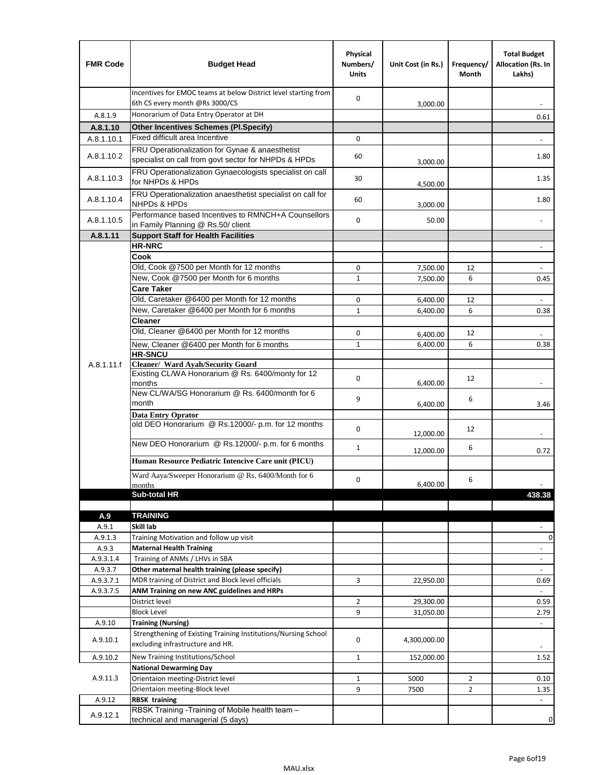| <b>FMR Code</b>    | <b>Budget Head</b>                                                                                      | Physical<br>Numbers/<br><b>Units</b> | Unit Cost (in Rs.)   | Frequency/<br>Month | <b>Total Budget</b><br>Allocation (Rs. In<br>Lakhs) |
|--------------------|---------------------------------------------------------------------------------------------------------|--------------------------------------|----------------------|---------------------|-----------------------------------------------------|
|                    | Incentives for EMOC teams at below District level starting from<br>6th CS every month @Rs 3000/CS       | $\mathbf 0$                          | 3,000.00             |                     |                                                     |
| A.8.1.9            | Honorarium of Data Entry Operator at DH                                                                 |                                      |                      |                     | 0.61                                                |
| A.8.1.10           | <b>Other Incentives Schemes (PI.Specify)</b>                                                            |                                      |                      |                     |                                                     |
| A.8.1.10.1         | Fixed difficult area Incentive                                                                          | $\mathbf 0$                          |                      |                     |                                                     |
| A.8.1.10.2         | FRU Operationalization for Gynae & anaesthetist<br>specialist on call from govt sector for NHPDs & HPDs | 60                                   | 3,000.00             |                     | 1.80                                                |
| A.8.1.10.3         | FRU Operationalization Gynaecologists specialist on call<br>for NHPDs & HPDs                            | 30                                   | 4,500.00             |                     | 1.35                                                |
| A.8.1.10.4         | FRU Operationalization anaesthetist specialist on call for<br><b>NHPDs &amp; HPDs</b>                   | 60                                   | 3,000.00             |                     | 1.80                                                |
| A.8.1.10.5         | Performance based Incentives to RMNCH+A Counsellors<br>in Family Planning @ Rs.50/ client               | $\mathbf 0$                          | 50.00                |                     | $\frac{1}{2}$                                       |
| A.8.1.11           | <b>Support Staff for Health Facilities</b>                                                              |                                      |                      |                     |                                                     |
|                    | <b>HR-NRC</b>                                                                                           |                                      |                      |                     | $\overline{\phantom{m}}$                            |
|                    | Cook                                                                                                    |                                      |                      |                     |                                                     |
|                    | Old, Cook @7500 per Month for 12 months                                                                 | 0                                    | 7,500.00             | 12                  | $\overline{\phantom{a}}$                            |
|                    | New, Cook @7500 per Month for 6 months                                                                  | $\mathbf{1}$                         | 7,500.00             | 6                   | 0.45                                                |
|                    | <b>Care Taker</b><br>Old, Caretaker @6400 per Month for 12 months                                       |                                      |                      |                     |                                                     |
|                    | New, Caretaker @6400 per Month for 6 months                                                             | $\mathbf 0$<br>$\mathbf{1}$          | 6,400.00             | 12<br>6             | ä,                                                  |
|                    | <b>Cleaner</b>                                                                                          |                                      | 6,400.00             |                     | 0.38                                                |
|                    | Old, Cleaner @6400 per Month for 12 months                                                              | 0                                    |                      | 12                  |                                                     |
|                    | New, Cleaner @6400 per Month for 6 months                                                               | $\mathbf{1}$                         | 6,400.00<br>6,400.00 | 6                   | 0.38                                                |
|                    | <b>HR-SNCU</b>                                                                                          |                                      |                      |                     |                                                     |
| A.8.1.11.f         | Cleaner/ Ward Ayah/Security Guard                                                                       |                                      |                      |                     |                                                     |
|                    | Existing CL/WA Honorarium @ Rs. 6400/monty for 12<br>months                                             | $\mathbf 0$                          | 6,400.00             | 12                  |                                                     |
|                    | New CL/WA/SG Honorarium @ Rs. 6400/month for 6<br>month                                                 | 9                                    | 6,400.00             | 6                   | 3.46                                                |
|                    | <b>Data Entry Oprator</b><br>old DEO Honorarium @ Rs.12000/- p.m. for 12 months                         |                                      |                      |                     |                                                     |
|                    |                                                                                                         | $\mathbf 0$                          | 12,000.00            | 12                  |                                                     |
|                    | New DEO Honorarium @ Rs.12000/- p.m. for 6 months                                                       | $\mathbf{1}$                         | 12,000.00            | 6                   | 0.72                                                |
|                    | Human Resource Pediatric Intencive Care unit (PICU)                                                     |                                      |                      |                     |                                                     |
|                    | Ward Aaya/Sweeper Honorarium @ Rs. 6400/Month for 6                                                     | $\mathbf 0$                          |                      | 6                   |                                                     |
|                    | months                                                                                                  |                                      | 6,400.00             |                     |                                                     |
|                    | Sub-total HR                                                                                            |                                      |                      |                     | 438.38                                              |
| A.9                | <b>TRAINING</b>                                                                                         |                                      |                      |                     |                                                     |
| A.9.1              | Skill lab                                                                                               |                                      |                      |                     |                                                     |
| A.9.1.3            | Training Motivation and follow up visit                                                                 |                                      |                      |                     | 0                                                   |
| A.9.3              | <b>Maternal Health Training</b>                                                                         |                                      |                      |                     | $\blacksquare$                                      |
| A.9.3.1.4          | Training of ANMs / LHVs in SBA                                                                          |                                      |                      |                     | $\overline{\phantom{a}}$                            |
| A.9.3.7            | Other maternal health training (please specify)                                                         |                                      |                      |                     |                                                     |
| A.9.3.7.1          | MDR training of District and Block level officials                                                      | 3                                    | 22,950.00            |                     | 0.69                                                |
| A.9.3.7.5          | ANM Training on new ANC guidelines and HRPs                                                             |                                      |                      |                     |                                                     |
|                    | District level                                                                                          | $\overline{2}$                       | 29,300.00            |                     | 0.59                                                |
|                    | <b>Block Level</b>                                                                                      | 9                                    | 31,050.00            |                     | 2.79                                                |
| A.9.10<br>A.9.10.1 | <b>Training (Nursing)</b><br>Strengthening of Existing Training Institutions/Nursing School             | 0                                    | 4,300,000.00         |                     | $\blacksquare$                                      |
|                    | excluding infrastructure and HR.                                                                        |                                      |                      |                     |                                                     |
| A.9.10.2           | New Training Institutions/School                                                                        | $\mathbf{1}$                         | 152,000.00           |                     | 1.52                                                |
|                    | <b>National Dewarming Day</b>                                                                           |                                      |                      |                     |                                                     |
| A.9.11.3           | Orientaion meeting-District level                                                                       | $\mathbf 1$                          | 5000                 | $\overline{2}$      | 0.10                                                |
|                    | Orientaion meeting-Block level                                                                          | 9                                    | 7500                 | $\overline{2}$      | 1.35                                                |
| A.9.12             | <b>RBSK training</b><br>RBSK Training -Training of Mobile health team -                                 |                                      |                      |                     |                                                     |
| A.9.12.1           | technical and managerial (5 days)                                                                       |                                      |                      |                     | 0                                                   |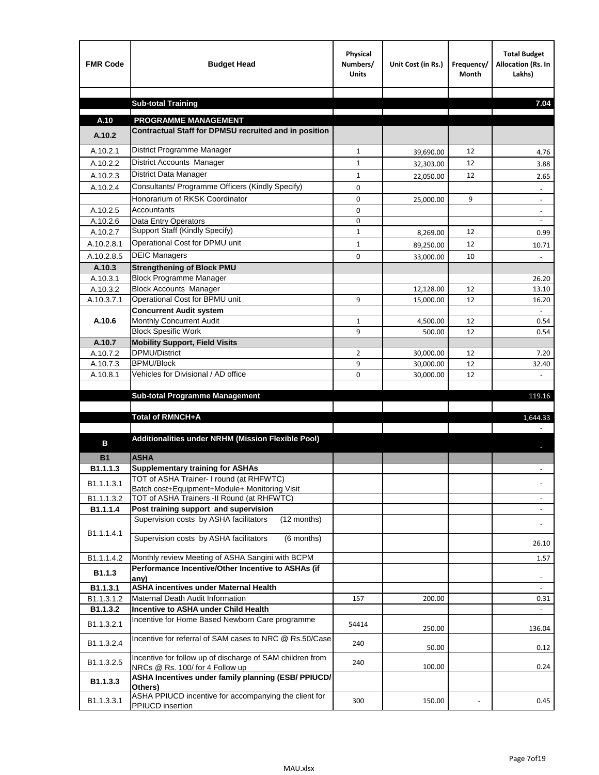| <b>FMR Code</b>    | <b>Budget Head</b>                                                                             | Physical<br>Numbers/<br><b>Units</b> | Unit Cost (in Rs.) | Frequency/<br>Month | <b>Total Budget</b><br>Allocation (Rs. In<br>Lakhs) |
|--------------------|------------------------------------------------------------------------------------------------|--------------------------------------|--------------------|---------------------|-----------------------------------------------------|
|                    |                                                                                                |                                      |                    |                     |                                                     |
|                    | <b>Sub-total Training</b>                                                                      |                                      |                    |                     | 7.04                                                |
| A.10               | <b>PROGRAMME MANAGEMENT</b>                                                                    |                                      |                    |                     |                                                     |
| A.10.2             | Contractual Staff for DPMSU recruited and in position                                          |                                      |                    |                     |                                                     |
| A.10.2.1           | District Programme Manager                                                                     | $\mathbf{1}$                         | 39,690.00          | 12                  | 4.76                                                |
| A.10.2.2           | <b>District Accounts Manager</b>                                                               | $\mathbf{1}$                         | 32,303.00          | 12                  | 3.88                                                |
| A.10.2.3           | District Data Manager                                                                          | $\mathbf{1}$                         |                    | 12                  |                                                     |
| A.10.2.4           | Consultants/ Programme Officers (Kindly Specify)                                               | $\mathbf 0$                          | 22,050.00          |                     | 2.65                                                |
|                    | Honorarium of RKSK Coordinator                                                                 | 0                                    | 25,000.00          | 9                   | $\overline{\phantom{a}}$                            |
| A.10.2.5           | Accountants                                                                                    | 0                                    |                    |                     |                                                     |
| A.10.2.6           | Data Entry Operators                                                                           | 0                                    |                    |                     | $\overline{\phantom{a}}$                            |
| A.10.2.7           | Support Staff (Kindly Specify)                                                                 | $\mathbf{1}$                         | 8,269.00           | 12                  | 0.99                                                |
| A.10.2.8.1         | Operational Cost for DPMU unit                                                                 | $\mathbf{1}$                         | 89,250.00          | 12                  | 10.71                                               |
| A.10.2.8.5         | <b>DEIC Managers</b>                                                                           | 0                                    | 33,000.00          | 10                  |                                                     |
| A.10.3             | <b>Strengthening of Block PMU</b>                                                              |                                      |                    |                     |                                                     |
| A.10.3.1           | <b>Block Programme Manager</b>                                                                 |                                      |                    |                     | 26.20                                               |
| A.10.3.2           | <b>Block Accounts Manager</b>                                                                  |                                      | 12,128.00          | 12                  | 13.10                                               |
| A.10.3.7.1         | Operational Cost for BPMU unit                                                                 | 9                                    | 15,000.00          | 12                  | 16.20                                               |
|                    | <b>Concurrent Audit system</b>                                                                 |                                      |                    |                     |                                                     |
| A.10.6             | Monthly Concurrent Audit                                                                       | $\mathbf{1}$                         | 4,500.00           | 12                  | 0.54                                                |
|                    | <b>Block Spesific Work</b>                                                                     | 9                                    | 500.00             | 12                  | 0.54                                                |
| A.10.7<br>A.10.7.2 | <b>Mobility Support, Field Visits</b><br>DPMU/District                                         | $\overline{2}$                       | 30,000.00          | 12                  | 7.20                                                |
| A.10.7.3           | <b>BPMU/Block</b>                                                                              | 9                                    | 30,000.00          | 12                  | 32.40                                               |
| A.10.8.1           | Vehicles for Divisional / AD office                                                            | 0                                    | 30,000.00          | 12                  | $\mathbf{r}$                                        |
|                    |                                                                                                |                                      |                    |                     |                                                     |
|                    | <b>Sub-total Programme Management</b>                                                          |                                      |                    |                     | 119.16                                              |
|                    |                                                                                                |                                      |                    |                     |                                                     |
|                    | Total of RMNCH+A                                                                               |                                      |                    |                     | 1,644.33                                            |
| в                  | Additionalities under NRHM (Mission Flexible Pool)                                             |                                      |                    |                     |                                                     |
| <b>B1</b>          | <b>ASHA</b>                                                                                    |                                      |                    |                     |                                                     |
| B1.1.1.3           | <b>Supplementary training for ASHAs</b>                                                        |                                      |                    |                     |                                                     |
| B1.1.1.3.1         | TOT of ASHA Trainer- I round (at RHFWTC)                                                       |                                      |                    |                     |                                                     |
|                    | Batch cost+Equipment+Module+ Monitoring Visit                                                  |                                      |                    |                     |                                                     |
| B1.1.1.3.2         | TOT of ASHA Trainers -II Round (at RHFWTC)                                                     |                                      |                    |                     |                                                     |
| B1.1.1.4           | Post training support and supervision<br>Supervision costs by ASHA facilitators<br>(12 months) |                                      |                    |                     | $\overline{\phantom{a}}$                            |
|                    |                                                                                                |                                      |                    |                     |                                                     |
| B1.1.1.4.1         | Supervision costs by ASHA facilitators<br>(6 months)                                           |                                      |                    |                     | 26.10                                               |
| B1.1.1.4.2         | Monthly review Meeting of ASHA Sangini with BCPM                                               |                                      |                    |                     | 1.57                                                |
| B <sub>1.1.3</sub> | Performance Incentive/Other Incentive to ASHAs (if<br>any)                                     |                                      |                    |                     |                                                     |
| B1.1.3.1           | <b>ASHA incentives under Maternal Health</b>                                                   |                                      |                    |                     |                                                     |
| B1.1.3.1.2         | Maternal Death Audit Information                                                               | 157                                  | 200.00             |                     | 0.31                                                |
| B1.1.3.2           | Incentive to ASHA under Child Health                                                           |                                      |                    |                     | $\omega$ .                                          |
| B1.1.3.2.1         | Incentive for Home Based Newborn Care programme                                                | 54414                                | 250.00             |                     | 136.04                                              |
| B1.1.3.2.4         | Incentive for referral of SAM cases to NRC @ Rs.50/Case                                        | 240                                  | 50.00              |                     | 0.12                                                |
| B1.1.3.2.5         | Incentive for follow up of discharge of SAM children from<br>NRCs @ Rs. 100/ for 4 Follow up   | 240                                  | 100.00             |                     | 0.24                                                |
| B1.1.3.3           | ASHA Incentives under family planning (ESB/ PPIUCD/<br>Others)                                 |                                      |                    |                     |                                                     |
| B1.1.3.3.1         | ASHA PPIUCD incentive for accompanying the client for<br>PPIUCD insertion                      | 300                                  | 150.00             |                     | 0.45                                                |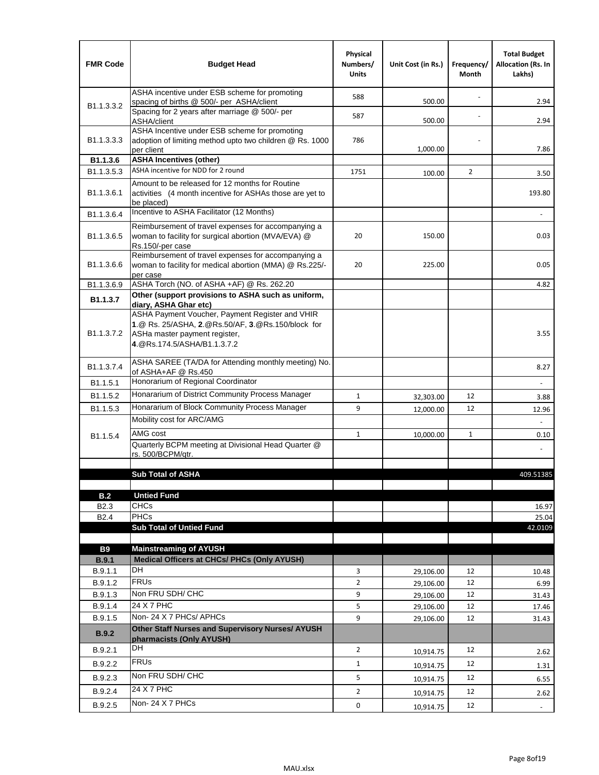| <b>FMR Code</b>            | <b>Budget Head</b>                                                                                                                                                    | Physical<br>Numbers/<br><b>Units</b> | Unit Cost (in Rs.)     | Frequency/<br>Month | <b>Total Budget</b><br>Allocation (Rs. In<br>Lakhs) |
|----------------------------|-----------------------------------------------------------------------------------------------------------------------------------------------------------------------|--------------------------------------|------------------------|---------------------|-----------------------------------------------------|
|                            | ASHA incentive under ESB scheme for promoting<br>spacing of births @ 500/- per ASHA/client                                                                            | 588                                  | 500.00                 |                     | 2.94                                                |
| B <sub>1.1</sub> , 3, 3, 2 | Spacing for 2 years after marriage @ 500/- per<br>ASHA/client                                                                                                         | 587                                  | 500.00                 |                     | 2.94                                                |
| B1.1.3.3.3                 | ASHA Incentive under ESB scheme for promoting<br>adoption of limiting method upto two children @ Rs. 1000<br>per client                                               | 786                                  | 1,000.00               |                     | 7.86                                                |
| B1.1.3.6                   | <b>ASHA Incentives (other)</b>                                                                                                                                        |                                      |                        |                     |                                                     |
| B <sub>1.1</sub> , 3, 5, 3 | ASHA incentive for NDD for 2 round                                                                                                                                    | 1751                                 | 100.00                 | $\overline{2}$      | 3.50                                                |
| B <sub>1.1</sub> .3.6.1    | Amount to be released for 12 months for Routine<br>activities (4 month incentive for ASHAs those are yet to<br>be placed)                                             |                                      |                        |                     | 193.80                                              |
| B1.1.3.6.4                 | Incentive to ASHA Facilitator (12 Months)                                                                                                                             |                                      |                        |                     | ä,                                                  |
| B <sub>1.1</sub> .3.6.5    | Reimbursement of travel expenses for accompanying a<br>woman to facility for surgical abortion (MVA/EVA) @<br>Rs.150/-per case                                        | 20                                   | 150.00                 |                     | 0.03                                                |
| B <sub>1.1</sub> .3.6.6    | Reimbursement of travel expenses for accompanying a<br>woman to facility for medical abortion (MMA) @ Rs.225/-<br>per case                                            | 20                                   | 225.00                 |                     | 0.05                                                |
| B1.1.3.6.9                 | ASHA Torch (NO. of ASHA +AF) @ Rs. 262.20                                                                                                                             |                                      |                        |                     | 4.82                                                |
| B1.1.3.7                   | Other (support provisions to ASHA such as uniform,<br>diary, ASHA Ghar etc)                                                                                           |                                      |                        |                     |                                                     |
| B <sub>1.1</sub> .3.7.2    | ASHA Payment Voucher, Payment Register and VHIR<br>1.@ Rs. 25/ASHA, 2.@Rs.50/AF, 3.@Rs.150/block for<br>ASHa master payment register,<br>4. @Rs.174.5/ASHA/B1.1.3.7.2 |                                      |                        |                     | 3.55                                                |
| B <sub>1.1</sub> , 3.7.4   | ASHA SAREE (TA/DA for Attending monthly meeting) No.<br>of ASHA+AF @ Rs.450                                                                                           |                                      |                        |                     | 8.27                                                |
| B <sub>1.1</sub> .5.1      | Honorarium of Regional Coordinator                                                                                                                                    |                                      |                        |                     |                                                     |
| B <sub>1.1.5.2</sub>       | Honararium of District Community Process Manager                                                                                                                      | $\mathbf{1}$                         | 32,303.00              | 12                  | 3.88                                                |
| B1.1.5.3                   | Honararium of Block Community Process Manager                                                                                                                         | 9                                    | 12,000.00              | 12                  | 12.96                                               |
|                            | Mobility cost for ARC/AMG                                                                                                                                             |                                      |                        |                     |                                                     |
| B <sub>1.1.5.4</sub>       | AMG cost                                                                                                                                                              | $\mathbf{1}$                         | 10,000.00              | 1                   | 0.10                                                |
|                            | Quarterly BCPM meeting at Divisional Head Quarter @<br>rs. 500/BCPM/qtr.                                                                                              |                                      |                        |                     |                                                     |
|                            |                                                                                                                                                                       |                                      |                        |                     |                                                     |
|                            | <b>Sub Total of ASHA</b>                                                                                                                                              |                                      |                        |                     | 409.51385                                           |
| B.2                        | <b>Untied Fund</b>                                                                                                                                                    |                                      |                        |                     |                                                     |
| B <sub>2.3</sub>           | <b>CHCs</b>                                                                                                                                                           |                                      |                        |                     | 16.97                                               |
| B <sub>2.4</sub>           | PHCs                                                                                                                                                                  |                                      |                        |                     | 25.04                                               |
|                            | <b>Sub Total of Untied Fund</b>                                                                                                                                       |                                      |                        |                     | 42.0109                                             |
|                            |                                                                                                                                                                       |                                      |                        |                     |                                                     |
| <b>B9</b>                  | <b>Mainstreaming of AYUSH</b>                                                                                                                                         |                                      |                        |                     |                                                     |
| B.9.1<br>B.9.1.1           | Medical Officers at CHCs/ PHCs (Only AYUSH)<br><b>DH</b>                                                                                                              | 3                                    |                        | 12                  |                                                     |
| B.9.1.2                    | <b>FRUs</b>                                                                                                                                                           | $\overline{2}$                       | 29,106.00<br>29,106.00 | 12                  | 10.48<br>6.99                                       |
| B.9.1.3                    | Non FRU SDH/ CHC                                                                                                                                                      | 9                                    | 29,106.00              | 12                  | 31.43                                               |
| B.9.1.4                    | 24 X 7 PHC                                                                                                                                                            | 5                                    | 29,106.00              | 12                  | 17.46                                               |
| B.9.1.5                    | Non-24 X 7 PHCs/ APHCs                                                                                                                                                | 9                                    | 29,106.00              | 12                  | 31.43                                               |
| <b>B.9.2</b>               | Other Staff Nurses and Supervisory Nurses/ AYUSH<br>pharmacists (Only AYUSH)                                                                                          |                                      |                        |                     |                                                     |
| B.9.2.1                    | DH                                                                                                                                                                    | $\overline{2}$                       | 10,914.75              | 12                  | 2.62                                                |
| B.9.2.2                    | <b>FRUs</b>                                                                                                                                                           | $\mathbf{1}$                         | 10,914.75              | 12                  | 1.31                                                |
| B.9.2.3                    | Non FRU SDH/ CHC                                                                                                                                                      | 5                                    | 10,914.75              | 12                  | 6.55                                                |
| B.9.2.4                    | 24 X 7 PHC                                                                                                                                                            | $\overline{2}$                       |                        | 12                  |                                                     |
|                            | Non-24 X 7 PHCs                                                                                                                                                       | 0                                    | 10,914.75              |                     | 2.62                                                |
| B.9.2.5                    |                                                                                                                                                                       |                                      | 10,914.75              | 12                  | $\overline{\phantom{a}}$                            |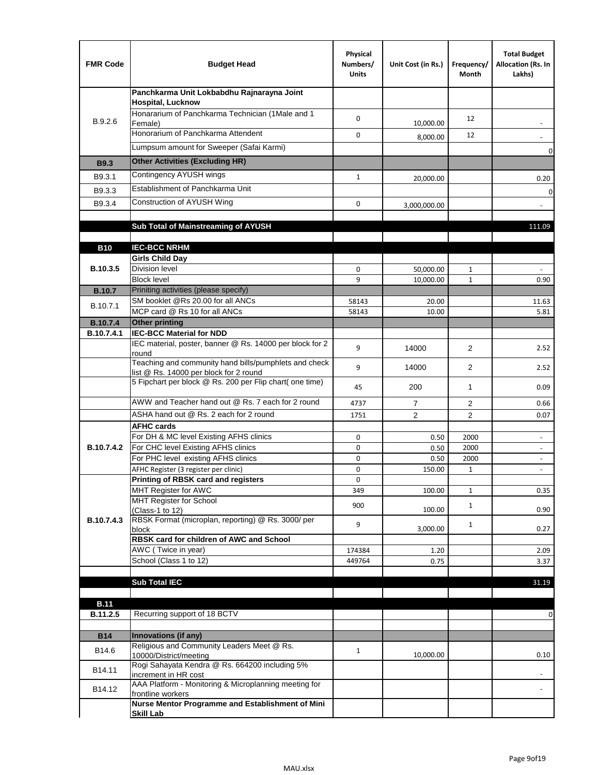| <b>FMR Code</b>   | <b>Budget Head</b>                                                                              | Physical<br>Numbers/<br><b>Units</b> | Unit Cost (in Rs.) | Frequency/<br>Month | <b>Total Budget</b><br>Allocation (Rs. In<br>Lakhs)  |
|-------------------|-------------------------------------------------------------------------------------------------|--------------------------------------|--------------------|---------------------|------------------------------------------------------|
|                   | Panchkarma Unit Lokbabdhu Rajnarayna Joint<br><b>Hospital, Lucknow</b>                          |                                      |                    |                     |                                                      |
| B.9.2.6           | Honararium of Panchkarma Technician (1Male and 1<br>Female)                                     | 0                                    | 10,000.00          | 12                  |                                                      |
|                   | Honorarium of Panchkarma Attendent                                                              | $\mathbf 0$                          | 8,000.00           | 12                  |                                                      |
|                   | Lumpsum amount for Sweeper (Safai Karmi)                                                        |                                      |                    |                     | 0                                                    |
| <b>B9.3</b>       | <b>Other Activities (Excluding HR)</b>                                                          |                                      |                    |                     |                                                      |
| B9.3.1            | Contingency AYUSH wings                                                                         | $\mathbf{1}$                         | 20,000.00          |                     | 0.20                                                 |
| B9.3.3            | Establishment of Panchkarma Unit                                                                |                                      |                    |                     | $\mathbf 0$                                          |
| B9.3.4            | Construction of AYUSH Wing                                                                      | 0                                    | 3,000,000.00       |                     |                                                      |
|                   |                                                                                                 |                                      |                    |                     |                                                      |
|                   | Sub Total of Mainstreaming of AYUSH                                                             |                                      |                    |                     | 111.09                                               |
| <b>B10</b>        | <b>IEC-BCC NRHM</b>                                                                             |                                      |                    |                     |                                                      |
|                   | <b>Girls Child Day</b>                                                                          |                                      |                    |                     |                                                      |
| B.10.3.5          | <b>Division level</b>                                                                           | 0                                    | 50,000.00          | 1                   |                                                      |
|                   | <b>Block level</b>                                                                              | 9                                    | 10,000.00          | $\mathbf{1}$        | 0.90                                                 |
| <b>B.10.7</b>     | Priniting activities (please specify)<br>SM booklet @Rs 20.00 for all ANCs                      |                                      |                    |                     |                                                      |
| B.10.7.1          | MCP card @ Rs 10 for all ANCs                                                                   | 58143<br>58143                       | 20.00<br>10.00     |                     | 11.63<br>5.81                                        |
| <b>B.10.7.4</b>   | <b>Other printing</b>                                                                           |                                      |                    |                     |                                                      |
| B.10.7.4.1        | <b>IEC-BCC Material for NDD</b>                                                                 |                                      |                    |                     |                                                      |
|                   | IEC material, poster, banner @ Rs. 14000 per block for 2<br>round                               | 9                                    | 14000              | $\overline{2}$      | 2.52                                                 |
|                   | Teaching and community hand bills/pumphlets and check<br>list @ Rs. 14000 per block for 2 round | 9                                    | 14000              | 2                   | 2.52                                                 |
|                   | 5 Fipchart per block @ Rs. 200 per Flip chart( one time)                                        | 45                                   | 200                | $\mathbf{1}$        | 0.09                                                 |
|                   | AWW and Teacher hand out @ Rs. 7 each for 2 round                                               | 4737                                 | $\overline{7}$     | 2                   | 0.66                                                 |
|                   | ASHA hand out @ Rs. 2 each for 2 round                                                          | 1751                                 | $\overline{2}$     | $\overline{2}$      | 0.07                                                 |
|                   | <b>AFHC cards</b>                                                                               |                                      |                    |                     |                                                      |
| <b>B.10.7.4.2</b> | For DH & MC level Existing AFHS clinics<br>For CHC level Existing AFHS clinics                  | 0<br>0                               | 0.50<br>0.50       | 2000<br>2000        | $\overline{\phantom{a}}$<br>$\overline{\phantom{a}}$ |
|                   | For PHC level existing AFHS clinics                                                             | 0                                    | 0.50               | 2000                | $\bar{a}$                                            |
|                   | AFHC Register (3 register per clinic)                                                           | 0                                    | 150.00             | $\mathbf{1}$        | $\blacksquare$                                       |
|                   | Printing of RBSK card and registers                                                             | 0                                    |                    |                     |                                                      |
|                   | MHT Register for AWC<br>MHT Register for School                                                 | 349                                  | 100.00             | $\mathbf{1}$        | 0.35                                                 |
|                   | (Class-1 to 12)                                                                                 | 900                                  | 100.00             | $\mathbf{1}$        | 0.90                                                 |
| B.10.7.4.3        | RBSK Format (microplan, reporting) @ Rs. 3000/ per                                              | 9                                    |                    | $\mathbf{1}$        |                                                      |
|                   | block<br>RBSK card for children of AWC and School                                               |                                      | 3,000.00           |                     | 0.27                                                 |
|                   | AWC (Twice in year)                                                                             | 174384                               | 1.20               |                     | 2.09                                                 |
|                   | School (Class 1 to 12)                                                                          | 449764                               | 0.75               |                     | 3.37                                                 |
|                   |                                                                                                 |                                      |                    |                     |                                                      |
|                   | <b>Sub Total IEC</b>                                                                            |                                      |                    |                     | 31.19                                                |
| <b>B.11</b>       |                                                                                                 |                                      |                    |                     |                                                      |
| B.11.2.5          | Recurring support of 18 BCTV                                                                    |                                      |                    |                     | 0                                                    |
|                   |                                                                                                 |                                      |                    |                     |                                                      |
| <b>B14</b>        | Innovations (if any)<br>Religious and Community Leaders Meet @ Rs.                              |                                      |                    |                     |                                                      |
| B14.6             | 10000/District/meeting                                                                          | $\mathbf{1}$                         | 10,000.00          |                     | 0.10                                                 |
| B14.11            | Rogi Sahayata Kendra @ Rs. 664200 including 5%<br>increment in HR cost                          |                                      |                    |                     |                                                      |
| B14.12            | AAA Platform - Monitoring & Microplanning meeting for<br>frontline workers                      |                                      |                    |                     |                                                      |
|                   | Nurse Mentor Programme and Establishment of Mini                                                |                                      |                    |                     |                                                      |
|                   | <b>Skill Lab</b>                                                                                |                                      |                    |                     |                                                      |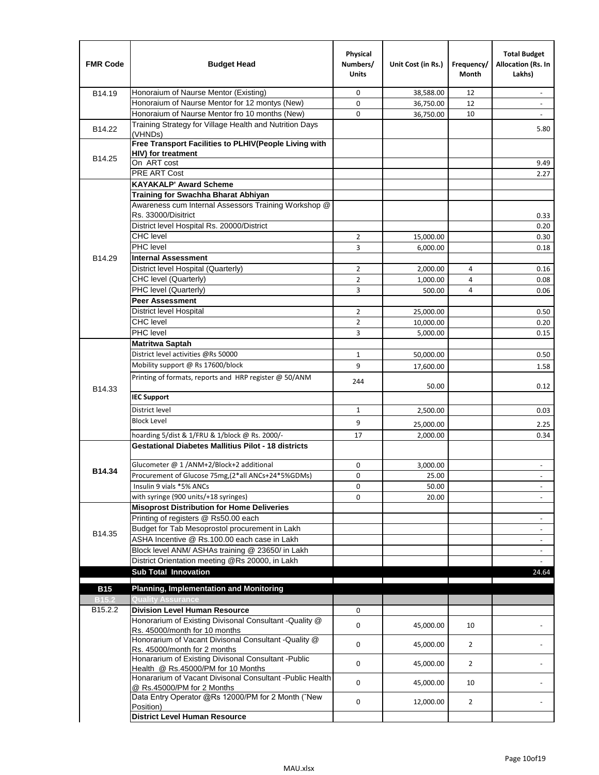| <b>FMR Code</b>         | <b>Budget Head</b>                                                                         | Physical<br>Numbers/<br><b>Units</b> | Unit Cost (in Rs.)    | Frequency/<br>Month | <b>Total Budget</b><br>Allocation (Rs. In<br>Lakhs) |
|-------------------------|--------------------------------------------------------------------------------------------|--------------------------------------|-----------------------|---------------------|-----------------------------------------------------|
| B14.19                  | Honoraium of Naurse Mentor (Existing)                                                      | 0                                    | 38,588.00             | 12                  |                                                     |
|                         | Honoraium of Naurse Mentor for 12 montys (New)                                             | 0                                    | 36,750.00             | 12                  | $\overline{a}$                                      |
|                         | Honoraium of Naurse Mentor fro 10 months (New)                                             | 0                                    | 36,750.00             | 10                  | $\overline{\phantom{a}}$                            |
| B14.22                  | Training Strategy for Village Health and Nutrition Days<br>(VHNDs)                         |                                      |                       |                     | 5.80                                                |
|                         | Free Transport Facilities to PLHIV(People Living with                                      |                                      |                       |                     |                                                     |
| B14.25                  | <b>HIV)</b> for treatment                                                                  |                                      |                       |                     |                                                     |
|                         | On ART cost                                                                                |                                      |                       |                     | 9.49                                                |
|                         | PRE ART Cost                                                                               |                                      |                       |                     | 2.27                                                |
|                         | <b>KAYAKALP' Award Scheme</b>                                                              |                                      |                       |                     |                                                     |
|                         | Training for Swachha Bharat Abhiyan                                                        |                                      |                       |                     |                                                     |
|                         | Awareness cum Internal Assessors Training Workshop @                                       |                                      |                       |                     |                                                     |
|                         | Rs. 33000/Disitrict                                                                        |                                      |                       |                     | 0.33                                                |
|                         | District level Hospital Rs. 20000/District<br><b>CHC</b> level                             |                                      |                       |                     | 0.20                                                |
|                         | PHC level                                                                                  | $\overline{2}$                       | 15,000.00             |                     | 0.30                                                |
| B14.29                  |                                                                                            | 3                                    | 6,000.00              |                     | 0.18                                                |
|                         | <b>Internal Assessment</b><br>District level Hospital (Quarterly)                          | $\overline{2}$                       |                       |                     |                                                     |
|                         | CHC level (Quarterly)                                                                      | $\overline{2}$                       | 2,000.00              | 4<br>4              | 0.16                                                |
|                         |                                                                                            | 3                                    | 1,000.00              | 4                   | 0.08                                                |
|                         | PHC level (Quarterly)<br><b>Peer Assessment</b>                                            |                                      | 500.00                |                     | 0.06                                                |
|                         | <b>District level Hospital</b>                                                             | $\overline{2}$                       |                       |                     |                                                     |
|                         | <b>CHC</b> level                                                                           | $\overline{2}$                       | 25,000.00             |                     | 0.50<br>0.20                                        |
|                         | PHC level                                                                                  | 3                                    | 10,000.00<br>5,000.00 |                     | 0.15                                                |
|                         | <b>Matritwa Saptah</b>                                                                     |                                      |                       |                     |                                                     |
|                         | District level activities @Rs 50000                                                        | $\mathbf{1}$                         | 50,000.00             |                     | 0.50                                                |
|                         | Mobility support @ Rs 17600/block                                                          | 9                                    |                       |                     |                                                     |
|                         |                                                                                            |                                      | 17,600.00             |                     | 1.58                                                |
| B14.33                  | Printing of formats, reports and HRP register @ 50/ANM                                     | 244                                  | 50.00                 |                     | 0.12                                                |
|                         | <b>IEC Support</b>                                                                         |                                      |                       |                     |                                                     |
|                         | District level                                                                             | $\mathbf{1}$                         | 2,500.00              |                     | 0.03                                                |
|                         | <b>Block Level</b>                                                                         | 9                                    | 25,000.00             |                     | 2.25                                                |
|                         | hoarding 5/dist & 1/FRU & 1/block @ Rs. 2000/-                                             | 17                                   | 2,000.00              |                     | 0.34                                                |
|                         | <b>Gestational Diabetes Mallitius Pilot - 18 districts</b>                                 |                                      |                       |                     |                                                     |
|                         | Glucometer @ 1 /ANM+2/Block+2 additional                                                   | 0                                    | 3,000.00              |                     |                                                     |
| B14.34                  | Procurement of Glucose 75mg, (2*all ANCs+24*5%GDMs)                                        | $\mathbf 0$                          | 25.00                 |                     |                                                     |
|                         | Insulin 9 vials *5% ANCs                                                                   | 0                                    | 50.00                 |                     | $\blacksquare$                                      |
|                         | with syringe (900 units/+18 syringes)                                                      | 0                                    | 20.00                 |                     |                                                     |
|                         | <b>Misoprost Distribution for Home Deliveries</b>                                          |                                      |                       |                     |                                                     |
|                         | Printing of registers @ Rs50.00 each                                                       |                                      |                       |                     | $\overline{\phantom{a}}$                            |
|                         | Budget for Tab Mesoprostol procurement in Lakh                                             |                                      |                       |                     | $\blacksquare$                                      |
| B14.35                  | ASHA Incentive @ Rs.100.00 each case in Lakh                                               |                                      |                       |                     | $\overline{\phantom{m}}$                            |
|                         | Block level ANM/ ASHAs training @ 23650/ in Lakh                                           |                                      |                       |                     |                                                     |
|                         | District Orientation meeting @Rs 20000, in Lakh                                            |                                      |                       |                     | $\omega$                                            |
|                         | <b>Sub Total Innovation</b>                                                                |                                      |                       |                     | 24.64                                               |
|                         | <b>Planning, Implementation and Monitoring</b>                                             |                                      |                       |                     |                                                     |
| <b>B15</b>              |                                                                                            |                                      |                       |                     |                                                     |
| <b>B15.2</b><br>B15.2.2 | <b>Quality Assurance</b><br><b>Division Level Human Resource</b>                           | 0                                    |                       |                     |                                                     |
|                         | Honorarium of Existing Divisonal Consultant -Quality @                                     |                                      |                       |                     |                                                     |
|                         | Rs. 45000/month for 10 months<br>Honorarium of Vacant Divisonal Consultant - Quality @     | $\mathbf 0$                          | 45,000.00             | 10                  |                                                     |
|                         | Rs. 45000/month for 2 months                                                               | $\mathbf 0$                          | 45,000.00             | $\overline{2}$      |                                                     |
|                         | Honararium of Existing Divisonal Consultant - Public<br>Health @ Rs.45000/PM for 10 Months | 0                                    | 45,000.00             | $\overline{2}$      |                                                     |
|                         | Honararium of Vacant Divisonal Consultant - Public Health<br>@ Rs.45000/PM for 2 Months    | $\mathbf 0$                          | 45,000.00             | 10                  |                                                     |
|                         | Data Entry Operator @Rs 12000/PM for 2 Month ("New<br>Position)                            | 0                                    | 12,000.00             | $\overline{2}$      |                                                     |
|                         | <b>District Level Human Resource</b>                                                       |                                      |                       |                     |                                                     |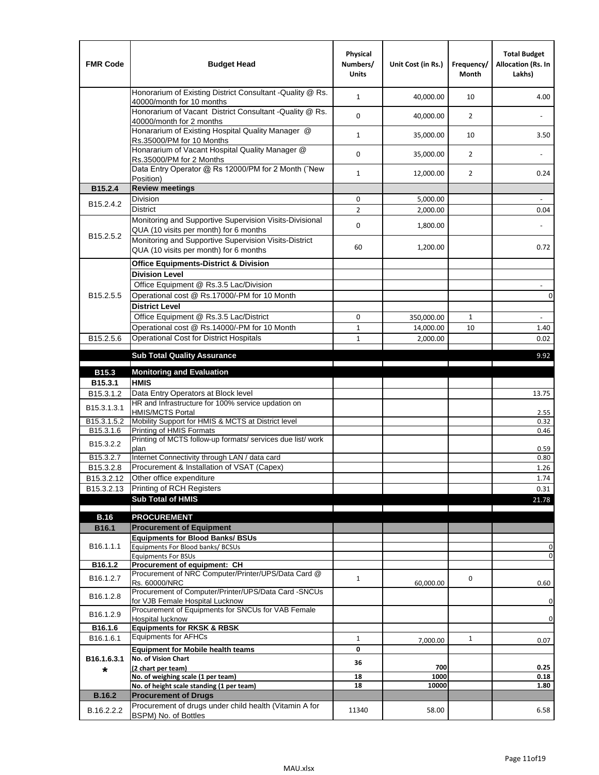| <b>FMR Code</b>        | <b>Budget Head</b>                                                                                | Physical<br>Numbers/<br><b>Units</b> | Unit Cost (in Rs.) | Frequency/<br>Month | <b>Total Budget</b><br>Allocation (Rs. In<br>Lakhs) |
|------------------------|---------------------------------------------------------------------------------------------------|--------------------------------------|--------------------|---------------------|-----------------------------------------------------|
|                        | Honorarium of Existing District Consultant -Quality @ Rs.<br>40000/month for 10 months            | $\mathbf{1}$                         | 40,000.00          | 10                  | 4.00                                                |
|                        | Honorarium of Vacant District Consultant -Quality @ Rs.<br>40000/month for 2 months               | 0                                    | 40,000.00          | $\overline{2}$      |                                                     |
|                        | Honararium of Existing Hospital Quality Manager @<br>Rs.35000/PM for 10 Months                    | $\mathbf{1}$                         | 35,000.00          | 10                  | 3.50                                                |
|                        | Honararium of Vacant Hospital Quality Manager @<br>Rs.35000/PM for 2 Months                       | 0                                    | 35,000.00          | $\overline{2}$      |                                                     |
|                        | Data Entry Operator @ Rs 12000/PM for 2 Month ("New<br>Position)                                  | $\mathbf{1}$                         | 12,000.00          | $\overline{2}$      | 0.24                                                |
| B15.2.4                | <b>Review meetings</b>                                                                            |                                      |                    |                     |                                                     |
| B <sub>15.2</sub> .4.2 | Division                                                                                          | 0                                    | 5,000.00           |                     |                                                     |
|                        | <b>District</b>                                                                                   | $\overline{2}$                       | 2,000.00           |                     | 0.04                                                |
| B15.2.5.2              | Monitoring and Supportive Supervision Visits-Divisional<br>QUA (10 visits per month) for 6 months | 0                                    | 1,800.00           |                     |                                                     |
|                        | Monitoring and Supportive Supervision Visits-District<br>QUA (10 visits per month) for 6 months   | 60                                   | 1,200.00           |                     | 0.72                                                |
|                        | <b>Office Equipments-District &amp; Division</b>                                                  |                                      |                    |                     |                                                     |
|                        | <b>Division Level</b>                                                                             |                                      |                    |                     |                                                     |
|                        | Office Equipment @ Rs.3.5 Lac/Division                                                            |                                      |                    |                     | $\sim$                                              |
| B15.2.5.5              | Operational cost @ Rs.17000/-PM for 10 Month                                                      |                                      |                    |                     | $\mathsf{O}\xspace$                                 |
|                        | <b>District Level</b>                                                                             |                                      |                    |                     |                                                     |
|                        | Office Equipment @ Rs.3.5 Lac/District                                                            | 0                                    | 350,000.00         | $\mathbf{1}$        | $\sim$                                              |
|                        | Operational cost @ Rs.14000/-PM for 10 Month                                                      | $\mathbf{1}$                         | 14,000.00          | 10                  | 1.40                                                |
| B15.2.5.6              | <b>Operational Cost for District Hospitals</b>                                                    | $\mathbf{1}$                         | 2,000.00           |                     | 0.02                                                |
|                        | <b>Sub Total Quality Assurance</b>                                                                |                                      |                    |                     | 9.92                                                |
| B15.3                  | <b>Monitoring and Evaluation</b>                                                                  |                                      |                    |                     |                                                     |
| B15.3.1                | <b>HMIS</b>                                                                                       |                                      |                    |                     |                                                     |
| B15.3.1.2              | Data Entry Operators at Block level                                                               |                                      |                    |                     | 13.75                                               |
| B15.3.1.3.1            | HR and Infrastructure for 100% service updation on<br><b>HMIS/MCTS Portal</b>                     |                                      |                    |                     | 2.55                                                |
| B15.3.1.5.2            | Mobility Support for HMIS & MCTS at District level                                                |                                      |                    |                     | 0.32                                                |
| B15.3.1.6              | Printing of HMIS Formats<br>Printing of MCTS follow-up formats/ services due list/ work           |                                      |                    |                     | 0.46                                                |
| B15.3.2.2              | plan                                                                                              |                                      |                    |                     | 0.59                                                |
| B15.3.2.7              | Internet Connectivity through LAN / data card                                                     |                                      |                    |                     | 0.80                                                |
| B15.3.2.8              | Procurement & Installation of VSAT (Capex)                                                        |                                      |                    |                     | 1.26                                                |
| B15.3.2.12             | Other office expenditure                                                                          |                                      |                    |                     | 1.74                                                |
| B15.3.2.13             | Printing of RCH Registers                                                                         |                                      |                    |                     | 0.31                                                |
|                        | <b>Sub Total of HMIS</b>                                                                          |                                      |                    |                     | 21.78                                               |
| <b>B.16</b>            | <b>PROCUREMENT</b>                                                                                |                                      |                    |                     |                                                     |
| B16.1                  | <b>Procurement of Equipment</b>                                                                   |                                      |                    |                     |                                                     |
|                        | <b>Equipments for Blood Banks/ BSUs</b>                                                           |                                      |                    |                     |                                                     |
| B16.1.1.1              | Equipments For Blood banks/ BCSUs<br><b>Equipments For BSUs</b>                                   |                                      |                    |                     | 0<br>$\mathsf{O}\xspace$                            |
| B16.1.2                | Procurement of equipment: CH                                                                      |                                      |                    |                     |                                                     |
| B16.1.2.7              | Procurement of NRC Computer/Printer/UPS/Data Card @                                               | $\mathbf{1}$                         |                    | 0                   |                                                     |
|                        | Rs. 60000/NRC<br>Procurement of Computer/Printer/UPS/Data Card -SNCUs                             |                                      | 60,000.00          |                     | 0.60                                                |
| B16.1.2.8              | for VJB Female Hospital Lucknow                                                                   |                                      |                    |                     | $\pmb{0}$                                           |
| B16.1.2.9              | Procurement of Equipments for SNCUs for VAB Female                                                |                                      |                    |                     |                                                     |
|                        | Hospital lucknow                                                                                  |                                      |                    |                     | $\pmb{0}$                                           |
| B16.1.6                | <b>Equipments for RKSK &amp; RBSK</b><br><b>Equipments for AFHCs</b>                              |                                      |                    |                     |                                                     |
| B16.1.6.1              |                                                                                                   | $\mathbf{1}$                         | 7,000.00           | $\mathbf{1}$        | 0.07                                                |
| B16.1.6.3.1            | <b>Equipment for Mobile health teams</b><br>No. of Vision Chart                                   | 0                                    |                    |                     |                                                     |
| *                      | (2 chart per team)                                                                                | 36                                   | 700                |                     | 0.25                                                |
|                        | No. of weighing scale (1 per team)                                                                | 18                                   | 1000               |                     | 0.18                                                |
|                        | No. of height scale standing (1 per team)                                                         | 18                                   | 10000              |                     | 1.80                                                |
| <b>B.16.2</b>          | <b>Procurement of Drugs</b>                                                                       |                                      |                    |                     |                                                     |
| B.16.2.2.2             | Procurement of drugs under child health (Vitamin A for<br>BSPM) No. of Bottles                    | 11340                                | 58.00              |                     | 6.58                                                |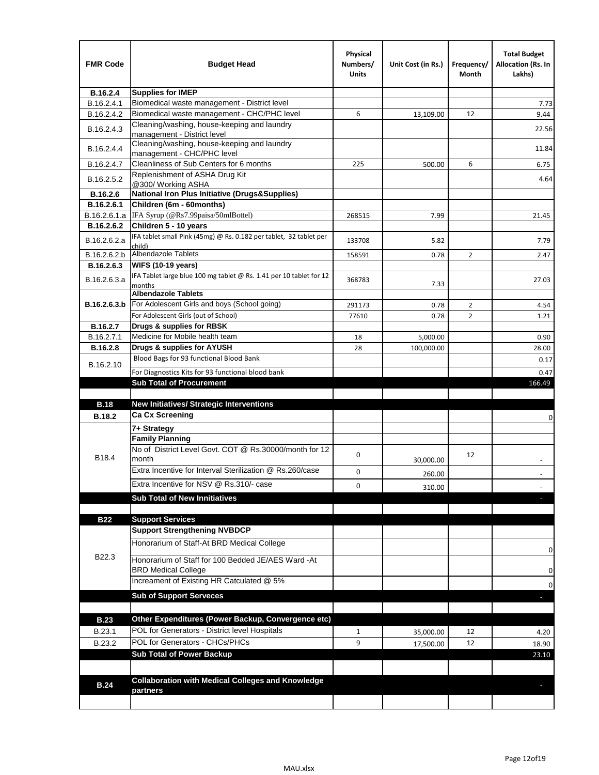| <b>FMR Code</b> | <b>Budget Head</b>                                                               | Physical<br>Numbers/<br>Units | Unit Cost (in Rs.) | Frequency/<br>Month              | <b>Total Budget</b><br>Allocation (Rs. In<br>Lakhs) |
|-----------------|----------------------------------------------------------------------------------|-------------------------------|--------------------|----------------------------------|-----------------------------------------------------|
| B.16.2.4        | <b>Supplies for IMEP</b>                                                         |                               |                    |                                  |                                                     |
| B.16.2.4.1      | Biomedical waste management - District level                                     |                               |                    |                                  | 7.73                                                |
| B.16.2.4.2      | Biomedical waste management - CHC/PHC level                                      | 6                             | 13,109.00          | 12                               | 9.44                                                |
| B.16.2.4.3      | Cleaning/washing, house-keeping and laundry<br>management - District level       |                               |                    |                                  | 22.56                                               |
| B.16.2.4.4      | Cleaning/washing, house-keeping and laundry<br>management - CHC/PHC level        |                               |                    |                                  | 11.84                                               |
| B.16.2.4.7      | Cleanliness of Sub Centers for 6 months                                          | 225                           | 500.00             | 6                                | 6.75                                                |
| B.16.2.5.2      | Replenishment of ASHA Drug Kit<br>@300/ Working ASHA                             |                               |                    |                                  | 4.64                                                |
| B.16.2.6        | <b>National Iron Plus Initiative (Drugs&amp;Supplies)</b>                        |                               |                    |                                  |                                                     |
| B.16.2.6.1      | Children (6m - 60months)                                                         |                               |                    |                                  |                                                     |
| B.16.2.6.1.a    | IFA Syrup (@Rs7.99paisa/50mlBottel)                                              | 268515                        | 7.99               |                                  | 21.45                                               |
| B.16.2.6.2      | Children 5 - 10 years                                                            |                               |                    |                                  |                                                     |
| B.16.2.6.2.a    | IFA tablet small Pink (45mg) @ Rs. 0.182 per tablet, 32 tablet per<br>child)     | 133708                        | 5.82               |                                  | 7.79                                                |
| B.16.2.6.2.b    | <b>Albendazole Tablets</b>                                                       | 158591                        | 0.78               | 2                                | 2.47                                                |
| B.16.2.6.3      | <b>WIFS (10-19 years)</b>                                                        |                               |                    |                                  |                                                     |
| B.16.2.6.3.a    | IFA Tablet large blue 100 mg tablet @ Rs. 1.41 per 10 tablet for 12              | 368783                        |                    |                                  | 27.03                                               |
|                 | months                                                                           |                               | 7.33               |                                  |                                                     |
| B.16.2.6.3.b    | <b>Albendazole Tablets</b><br>For Adolescent Girls and boys (School going)       |                               |                    |                                  |                                                     |
|                 | For Adolescent Girls (out of School)                                             | 291173<br>77610               | 0.78<br>0.78       | $\overline{2}$<br>$\overline{2}$ | 4.54<br>1.21                                        |
| B.16.2.7        | Drugs & supplies for RBSK                                                        |                               |                    |                                  |                                                     |
| B.16.2.7.1      | Medicine for Mobile health team                                                  | 18                            | 5,000.00           |                                  | 0.90                                                |
| <b>B.16.2.8</b> | Drugs & supplies for AYUSH                                                       | 28                            | 100,000.00         |                                  | 28.00                                               |
|                 | Blood Bags for 93 functional Blood Bank                                          |                               |                    |                                  | 0.17                                                |
| B.16.2.10       | For Diagnostics Kits for 93 functional blood bank                                |                               |                    |                                  | 0.47                                                |
|                 | <b>Sub Total of Procurement</b>                                                  |                               |                    |                                  | 166.49                                              |
| <b>B.18</b>     | <b>New Initiatives/ Strategic Interventions</b>                                  |                               |                    |                                  |                                                     |
| <b>B.18.2</b>   | <b>Ca Cx Screening</b>                                                           |                               |                    |                                  | 0                                                   |
|                 | 7+ Strategy                                                                      |                               |                    |                                  |                                                     |
|                 | <b>Family Planning</b>                                                           |                               |                    |                                  |                                                     |
| B18.4           | No of District Level Govt. COT @ Rs.30000/month for 12<br>month                  | 0                             | 30,000.00          | 12                               |                                                     |
|                 | Extra Incentive for Interval Sterilization @ Rs.260/case                         | 0                             | 260.00             |                                  |                                                     |
|                 | Extra Incentive for NSV @ Rs.310/- case                                          | 0                             | 310.00             |                                  |                                                     |
|                 | <b>Sub Total of New Innitiatives</b>                                             |                               |                    |                                  |                                                     |
|                 |                                                                                  |                               |                    |                                  |                                                     |
| <b>B22</b>      | <b>Support Services</b>                                                          |                               |                    |                                  |                                                     |
|                 | <b>Support Strengthening NVBDCP</b>                                              |                               |                    |                                  |                                                     |
|                 | Honorarium of Staff-At BRD Medical College                                       |                               |                    |                                  | 0                                                   |
| B22.3           | Honorarium of Staff for 100 Bedded JE/AES Ward -At<br><b>BRD Medical College</b> |                               |                    |                                  | 0                                                   |
|                 | Increament of Existing HR Catculated @ 5%                                        |                               |                    |                                  | 0                                                   |
|                 | <b>Sub of Support Serveces</b>                                                   |                               |                    |                                  |                                                     |
|                 |                                                                                  |                               |                    |                                  |                                                     |
| <b>B.23</b>     | Other Expenditures (Power Backup, Convergence etc)                               |                               |                    |                                  |                                                     |
| B.23.1          | POL for Generators - District level Hospitals                                    | $\mathbf{1}$                  | 35,000.00          | 12                               | 4.20                                                |
| B.23.2          | POL for Generators - CHCs/PHCs                                                   | 9                             | 17,500.00          | 12                               | 18.90                                               |
|                 | <b>Sub Total of Power Backup</b>                                                 |                               |                    |                                  | 23.10                                               |
|                 |                                                                                  |                               |                    |                                  |                                                     |
| <b>B.24</b>     | <b>Collaboration with Medical Colleges and Knowledge</b>                         |                               |                    |                                  |                                                     |
|                 | partners                                                                         |                               |                    |                                  |                                                     |
|                 |                                                                                  |                               |                    |                                  |                                                     |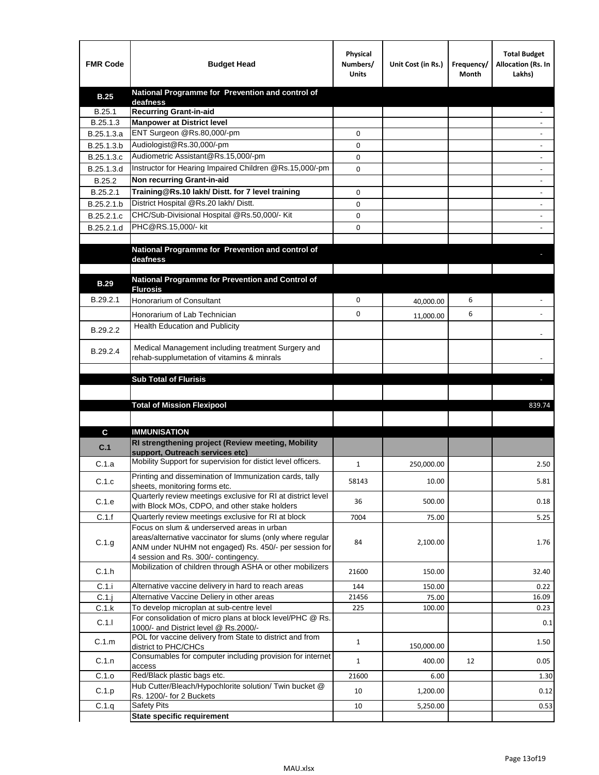| <b>FMR Code</b> | <b>Budget Head</b>                                                                                | Physical<br>Numbers/<br><b>Units</b> | Unit Cost (in Rs.) | Frequency/<br>Month | <b>Total Budget</b><br>Allocation (Rs. In<br>Lakhs) |
|-----------------|---------------------------------------------------------------------------------------------------|--------------------------------------|--------------------|---------------------|-----------------------------------------------------|
| <b>B.25</b>     | National Programme for Prevention and control of                                                  |                                      |                    |                     |                                                     |
| B.25.1          | deafness<br><b>Recurring Grant-in-aid</b>                                                         |                                      |                    |                     |                                                     |
| B.25.1.3        | <b>Manpower at District level</b>                                                                 |                                      |                    |                     |                                                     |
| B.25.1.3.a      | ENT Surgeon @Rs.80,000/-pm                                                                        | 0                                    |                    |                     |                                                     |
| B.25.1.3.b      | Audiologist@Rs.30,000/-pm                                                                         | 0                                    |                    |                     |                                                     |
| B.25.1.3.c      | Audiometric Assistant@Rs.15,000/-pm                                                               | 0                                    |                    |                     |                                                     |
| B.25.1.3.d      | Instructor for Hearing Impaired Children @Rs.15,000/-pm                                           | 0                                    |                    |                     |                                                     |
| B.25.2          | Non recurring Grant-in-aid                                                                        |                                      |                    |                     |                                                     |
| B.25.2.1        | Training@Rs.10 lakh/ Distt. for 7 level training                                                  | 0                                    |                    |                     |                                                     |
| B.25.2.1.b      | District Hospital @Rs.20 lakh/Distt.                                                              | 0                                    |                    |                     |                                                     |
| B.25.2.1.c      | CHC/Sub-Divisional Hospital @Rs.50,000/- Kit                                                      | 0                                    |                    |                     |                                                     |
| B.25.2.1.d      | PHC@RS.15,000/- kit                                                                               | 0                                    |                    |                     |                                                     |
|                 | National Programme for Prevention and control of                                                  |                                      |                    |                     |                                                     |
|                 | deafness                                                                                          |                                      |                    |                     |                                                     |
|                 |                                                                                                   |                                      |                    |                     |                                                     |
| <b>B.29</b>     | National Programme for Prevention and Control of                                                  |                                      |                    |                     |                                                     |
| B.29.2.1        | <b>Flurosis</b><br>Honorarium of Consultant                                                       | 0                                    |                    | 6                   |                                                     |
|                 |                                                                                                   |                                      | 40,000.00          |                     |                                                     |
|                 | Honorarium of Lab Technician<br>Health Education and Publicity                                    | 0                                    | 11,000.00          | 6                   |                                                     |
| B.29.2.2        |                                                                                                   |                                      |                    |                     |                                                     |
| B.29.2.4        | Medical Management including treatment Surgery and                                                |                                      |                    |                     |                                                     |
|                 | rehab-supplumetation of vitamins & minrals                                                        |                                      |                    |                     |                                                     |
|                 |                                                                                                   |                                      |                    |                     |                                                     |
|                 | <b>Sub Total of Flurisis</b>                                                                      |                                      |                    |                     | ь                                                   |
|                 |                                                                                                   |                                      |                    |                     |                                                     |
|                 | <b>Total of Mission Flexipool</b>                                                                 |                                      |                    |                     | 839.74                                              |
|                 |                                                                                                   |                                      |                    |                     |                                                     |
| C               | <b>IMMUNISATION</b>                                                                               |                                      |                    |                     |                                                     |
| C.1             | RI strengthening project (Review meeting, Mobility<br>support, Outreach services etc)             |                                      |                    |                     |                                                     |
| C.1.a           | Mobility Support for supervision for distict level officers.                                      | 1                                    | 250,000.00         |                     | 2.50                                                |
|                 | Printing and dissemination of Immunization cards, tally                                           |                                      |                    |                     |                                                     |
| C.1.c           | sheets, monitoring forms etc.                                                                     | 58143                                | 10.00              |                     | 5.81                                                |
| C.1.e           | Quarterly review meetings exclusive for RI at district level                                      | 36                                   | 500.00             |                     | 0.18                                                |
|                 | with Block MOs, CDPO, and other stake holders                                                     |                                      |                    |                     |                                                     |
| C.1.f           | Quarterly review meetings exclusive for RI at block<br>Focus on slum & underserved areas in urban | 7004                                 | 75.00              |                     | 5.25                                                |
|                 | areas/alternative vaccinator for slums (only where regular                                        |                                      |                    |                     |                                                     |
| C.1.g           | ANM under NUHM not engaged) Rs. 450/- per session for                                             | 84                                   | 2,100.00           |                     | 1.76                                                |
|                 | 4 session and Rs. 300/- contingency.                                                              |                                      |                    |                     |                                                     |
| C.1.h           | Mobilization of children through ASHA or other mobilizers                                         | 21600                                | 150.00             |                     | 32.40                                               |
| C.1.i           | Alternative vaccine delivery in hard to reach areas                                               | 144                                  | 150.00             |                     | 0.22                                                |
| $C.1$ .j        | Alternative Vaccine Deliery in other areas                                                        | 21456                                | 75.00              |                     | 16.09                                               |
| C.1.k           | To develop microplan at sub-centre level                                                          | 225                                  | 100.00             |                     | 0.23                                                |
| C.1.1           | For consolidation of micro plans at block level/PHC @ Rs.                                         |                                      |                    |                     | 0.1                                                 |
|                 | 1000/- and District level @ Rs.2000/-<br>POL for vaccine delivery from State to district and from |                                      |                    |                     |                                                     |
| C.1.m           | district to PHC/CHCs                                                                              | $\mathbf{1}$                         | 150,000.00         |                     | 1.50                                                |
| C.1.n           | Consumables for computer including provision for internet                                         | $\mathbf{1}$                         | 400.00             | 12                  | 0.05                                                |
| C.1.o           | access<br>Red/Black plastic bags etc.                                                             | 21600                                | 6.00               |                     | 1.30                                                |
|                 | Hub Cutter/Bleach/Hypochlorite solution/ Twin bucket @                                            |                                      |                    |                     |                                                     |
| C.1.p           | Rs. 1200/- for 2 Buckets                                                                          | 10                                   | 1,200.00           |                     | 0.12                                                |
| C.1.q           | <b>Safety Pits</b>                                                                                | 10                                   | 5,250.00           |                     | 0.53                                                |
|                 | <b>State specific requirement</b>                                                                 |                                      |                    |                     |                                                     |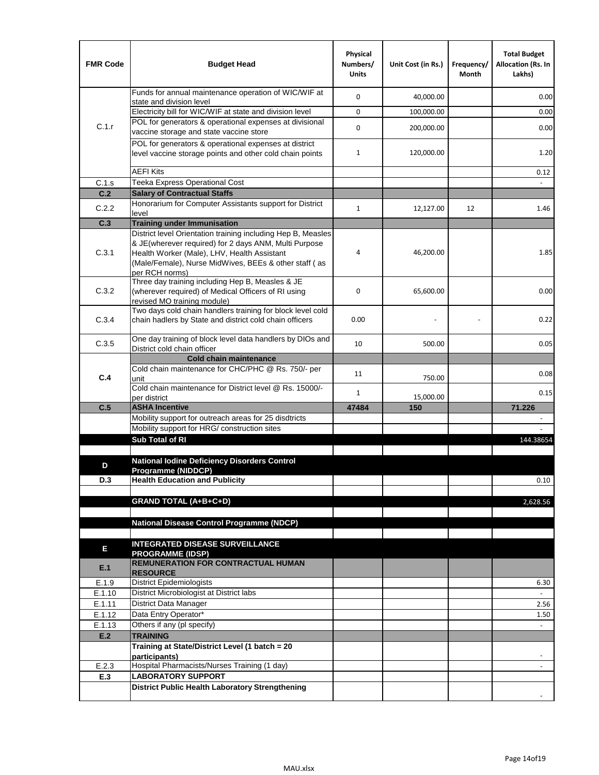| <b>FMR Code</b>  | <b>Budget Head</b>                                                                                                                                                              | Physical<br>Numbers/<br><b>Units</b> | Unit Cost (in Rs.) | Frequency/<br>Month | <b>Total Budget</b><br><b>Allocation (Rs. In</b><br>Lakhs) |
|------------------|---------------------------------------------------------------------------------------------------------------------------------------------------------------------------------|--------------------------------------|--------------------|---------------------|------------------------------------------------------------|
|                  | Funds for annual maintenance operation of WIC/WIF at<br>state and division level                                                                                                | $\mathbf 0$                          | 40,000.00          |                     | 0.00                                                       |
|                  | Electricity bill for WIC/WIF at state and division level                                                                                                                        | $\mathbf 0$                          | 100,000.00         |                     | 0.00                                                       |
| C.1.r            | POL for generators & operational expenses at divisional                                                                                                                         | $\mathbf 0$                          |                    |                     | 0.00                                                       |
|                  | vaccine storage and state vaccine store                                                                                                                                         |                                      | 200,000.00         |                     |                                                            |
|                  | POL for generators & operational expenses at district<br>level vaccine storage points and other cold chain points                                                               | $\mathbf{1}$                         | 120,000.00         |                     | 1.20                                                       |
|                  | <b>AEFI Kits</b>                                                                                                                                                                |                                      |                    |                     | 0.12                                                       |
| C.1.s            | Teeka Express Operational Cost                                                                                                                                                  |                                      |                    |                     |                                                            |
| C.2              | <b>Salary of Contractual Staffs</b>                                                                                                                                             |                                      |                    |                     |                                                            |
| C.2.2            | Honorarium for Computer Assistants support for District<br>level                                                                                                                | $\mathbf{1}$                         | 12,127.00          | 12                  | 1.46                                                       |
| C.3              | <b>Training under Immunisation</b>                                                                                                                                              |                                      |                    |                     |                                                            |
|                  | District level Orientation training including Hep B, Measles                                                                                                                    |                                      |                    |                     |                                                            |
| C.3.1            | & JE(wherever required) for 2 days ANM, Multi Purpose<br>Health Worker (Male), LHV, Health Assistant<br>(Male/Female), Nurse MidWives, BEEs & other staff (as<br>per RCH norms) | 4                                    | 46,200.00          |                     | 1.85                                                       |
| C.3.2            | Three day training including Hep B, Measles & JE<br>(wherever required) of Medical Officers of RI using<br>revised MO training module)                                          | $\mathbf 0$                          | 65,600.00          |                     | 0.00                                                       |
| C.3.4            | Two days cold chain handlers training for block level cold<br>chain hadlers by State and district cold chain officers                                                           | 0.00                                 |                    |                     | 0.22                                                       |
| C.3.5            | One day training of block level data handlers by DIOs and<br>District cold chain officer                                                                                        | 10                                   | 500.00             |                     | 0.05                                                       |
|                  | <b>Cold chain maintenance</b>                                                                                                                                                   |                                      |                    |                     |                                                            |
| C.4              | Cold chain maintenance for CHC/PHC @ Rs. 750/- per<br>unit                                                                                                                      | 11                                   | 750.00             |                     | 0.08                                                       |
|                  | Cold chain maintenance for District level @ Rs. 15000/-                                                                                                                         | $\mathbf{1}$                         | 15,000.00          |                     | 0.15                                                       |
| C.5              | per district<br><b>ASHA Incentive</b>                                                                                                                                           | 47484                                | 150                |                     | 71.226                                                     |
|                  | Mobility support for outreach areas for 25 disdtricts                                                                                                                           |                                      |                    |                     |                                                            |
|                  | Mobility support for HRG/ construction sites                                                                                                                                    |                                      |                    |                     |                                                            |
|                  | Sub Total of RI                                                                                                                                                                 |                                      |                    |                     | 144.38654                                                  |
|                  |                                                                                                                                                                                 |                                      |                    |                     |                                                            |
| D                | <b>National Iodine Deficiency Disorders Control</b><br>Programme (NIDDCP)                                                                                                       |                                      |                    |                     |                                                            |
| D.3              | <b>Health Education and Publicity</b>                                                                                                                                           |                                      |                    |                     | 0.10                                                       |
|                  |                                                                                                                                                                                 |                                      |                    |                     |                                                            |
|                  | <b>GRAND TOTAL (A+B+C+D)</b>                                                                                                                                                    |                                      |                    |                     | 2,628.56                                                   |
|                  |                                                                                                                                                                                 |                                      |                    |                     |                                                            |
|                  | National Disease Control Programme (NDCP)                                                                                                                                       |                                      |                    |                     |                                                            |
|                  | <b>INTEGRATED DISEASE SURVEILLANCE</b>                                                                                                                                          |                                      |                    |                     |                                                            |
| Е                | <b>PROGRAMME (IDSP)</b>                                                                                                                                                         |                                      |                    |                     |                                                            |
| E.1              | <b>REMUNERATION FOR CONTRACTUAL HUMAN</b><br><b>RESOURCE</b>                                                                                                                    |                                      |                    |                     |                                                            |
| E.1.9            | District Epidemiologists                                                                                                                                                        |                                      |                    |                     | 6.30                                                       |
| E.1.10           | District Microbiologist at District labs                                                                                                                                        |                                      |                    |                     |                                                            |
| E.1.11           | District Data Manager                                                                                                                                                           |                                      |                    |                     | 2.56                                                       |
| E.1.12<br>E.1.13 | Data Entry Operator*<br>Others if any (pl specify)                                                                                                                              |                                      |                    |                     | 1.50<br>$\omega$                                           |
| E.2              | <b>TRAINING</b>                                                                                                                                                                 |                                      |                    |                     |                                                            |
|                  | Training at State/District Level (1 batch = 20                                                                                                                                  |                                      |                    |                     |                                                            |
|                  | participants)                                                                                                                                                                   |                                      |                    |                     |                                                            |
| E.2.3            | Hospital Pharmacists/Nurses Training (1 day)                                                                                                                                    |                                      |                    |                     |                                                            |
| E.3              | <b>LABORATORY SUPPORT</b>                                                                                                                                                       |                                      |                    |                     |                                                            |
|                  | <b>District Public Health Laboratory Strengthening</b>                                                                                                                          |                                      |                    |                     |                                                            |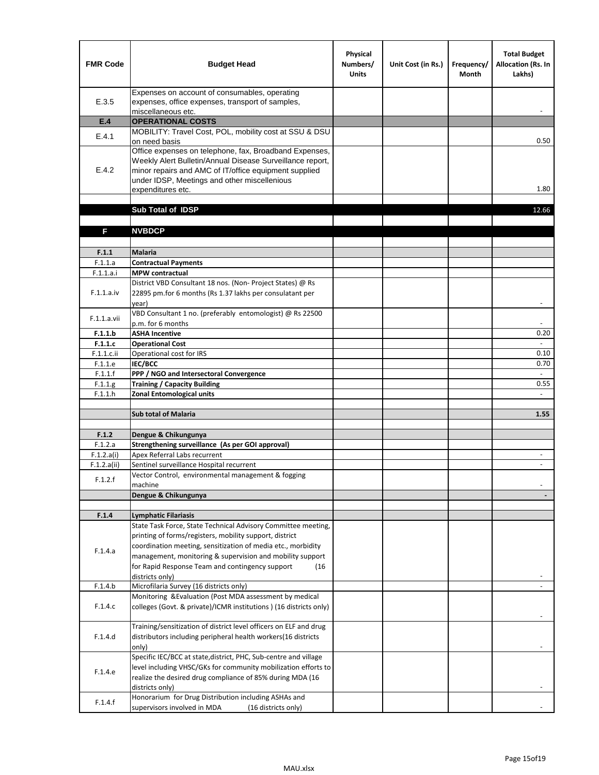| <b>FMR Code</b> | <b>Budget Head</b>                                                                                                                                                                                                                                | Physical<br>Numbers/<br><b>Units</b> | Unit Cost (in Rs.) | Frequency/<br><b>Month</b> | <b>Total Budget</b><br><b>Allocation (Rs. In</b><br>Lakhs) |
|-----------------|---------------------------------------------------------------------------------------------------------------------------------------------------------------------------------------------------------------------------------------------------|--------------------------------------|--------------------|----------------------------|------------------------------------------------------------|
| E.3.5           | Expenses on account of consumables, operating<br>expenses, office expenses, transport of samples,<br>miscellaneous etc.                                                                                                                           |                                      |                    |                            |                                                            |
| E.4             | <b>OPERATIONAL COSTS</b>                                                                                                                                                                                                                          |                                      |                    |                            |                                                            |
| E.4.1           | MOBILITY: Travel Cost, POL, mobility cost at SSU & DSU<br>on need basis                                                                                                                                                                           |                                      |                    |                            | 0.50                                                       |
| E.4.2           | Office expenses on telephone, fax, Broadband Expenses,<br>Weekly Alert Bulletin/Annual Disease Surveillance report,<br>minor repairs and AMC of IT/office equipment supplied<br>under IDSP, Meetings and other miscellenious<br>expenditures etc. |                                      |                    |                            | 1.80                                                       |
|                 | Sub Total of IDSP                                                                                                                                                                                                                                 |                                      |                    |                            | 12.66                                                      |
|                 |                                                                                                                                                                                                                                                   |                                      |                    |                            |                                                            |
| F               | <b>NVBDCP</b>                                                                                                                                                                                                                                     |                                      |                    |                            |                                                            |
| F.1.1           | <b>Malaria</b>                                                                                                                                                                                                                                    |                                      |                    |                            |                                                            |
| F.1.1.a         | <b>Contractual Payments</b>                                                                                                                                                                                                                       |                                      |                    |                            |                                                            |
| F.1.1.a.i       | <b>MPW</b> contractual                                                                                                                                                                                                                            |                                      |                    |                            |                                                            |
| F.1.1.a.iv      | District VBD Consultant 18 nos. (Non-Project States) @ Rs<br>22895 pm.for 6 months (Rs 1.37 lakhs per consulatant per<br>year)                                                                                                                    |                                      |                    |                            | $\overline{\phantom{a}}$                                   |
| F.1.1.a.vii     | VBD Consultant 1 no. (preferably entomologist) @ Rs 22500<br>p.m. for 6 months                                                                                                                                                                    |                                      |                    |                            |                                                            |
| F.1.1.b         | <b>ASHA Incentive</b>                                                                                                                                                                                                                             |                                      |                    |                            | 0.20                                                       |
| F.1.1.c         | <b>Operational Cost</b>                                                                                                                                                                                                                           |                                      |                    |                            | $\overline{\phantom{a}}$                                   |
| F.1.1.c.ii      | Operational cost for IRS                                                                                                                                                                                                                          |                                      |                    |                            | 0.10                                                       |
| F.1.1.e         | <b>IEC/BCC</b>                                                                                                                                                                                                                                    |                                      |                    |                            | 0.70                                                       |
| F.1.1.f         | PPP / NGO and Intersectoral Convergence                                                                                                                                                                                                           |                                      |                    |                            | $\omega$                                                   |
| F.1.1.g         | <b>Training / Capacity Building</b>                                                                                                                                                                                                               |                                      |                    |                            | 0.55                                                       |
| F.1.1.h         | <b>Zonal Entomological units</b>                                                                                                                                                                                                                  |                                      |                    |                            | $\omega$                                                   |
|                 | <b>Sub total of Malaria</b>                                                                                                                                                                                                                       |                                      |                    |                            | 1.55                                                       |
| F.1.2           | Dengue & Chikungunya                                                                                                                                                                                                                              |                                      |                    |                            |                                                            |
| F.1.2.a         | Strengthening surveillance (As per GOI approval)                                                                                                                                                                                                  |                                      |                    |                            |                                                            |
| F.1.2.a(i)      | Apex Referral Labs recurrent                                                                                                                                                                                                                      |                                      |                    |                            | $\overline{\phantom{a}}$                                   |
| F.1.2.a(ii)     | Sentinel surveillance Hospital recurrent                                                                                                                                                                                                          |                                      |                    |                            | $\overline{\phantom{a}}$                                   |
| F.1.2.f         | Vector Control, environmental management & fogging<br>machine                                                                                                                                                                                     |                                      |                    |                            |                                                            |
|                 | Dengue & Chikungunya                                                                                                                                                                                                                              |                                      |                    |                            |                                                            |
|                 |                                                                                                                                                                                                                                                   |                                      |                    |                            |                                                            |
| F.1.4           | Lymphatic Filariasis<br>State Task Force, State Technical Advisory Committee meeting,                                                                                                                                                             |                                      |                    |                            |                                                            |
|                 | printing of forms/registers, mobility support, district                                                                                                                                                                                           |                                      |                    |                            |                                                            |
|                 | coordination meeting, sensitization of media etc., morbidity                                                                                                                                                                                      |                                      |                    |                            |                                                            |
| F.1.4.a         | management, monitoring & supervision and mobility support                                                                                                                                                                                         |                                      |                    |                            |                                                            |
|                 | for Rapid Response Team and contingency support<br>(16                                                                                                                                                                                            |                                      |                    |                            |                                                            |
|                 | districts only)                                                                                                                                                                                                                                   |                                      |                    |                            |                                                            |
| F.1.4.b         | Microfilaria Survey (16 districts only)                                                                                                                                                                                                           |                                      |                    |                            |                                                            |
| F.1.4.c         | Monitoring & Evaluation (Post MDA assessment by medical<br>colleges (Govt. & private)/ICMR institutions ) (16 districts only)                                                                                                                     |                                      |                    |                            |                                                            |
|                 | Training/sensitization of district level officers on ELF and drug                                                                                                                                                                                 |                                      |                    |                            |                                                            |
| F.1.4.d         | distributors including peripheral health workers(16 districts                                                                                                                                                                                     |                                      |                    |                            |                                                            |
|                 | only)                                                                                                                                                                                                                                             |                                      |                    |                            |                                                            |
|                 | Specific IEC/BCC at state, district, PHC, Sub-centre and village                                                                                                                                                                                  |                                      |                    |                            |                                                            |
| F.1.4.e         | level including VHSC/GKs for community mobilization efforts to<br>realize the desired drug compliance of 85% during MDA (16                                                                                                                       |                                      |                    |                            |                                                            |
|                 | districts only)<br>Honorarium for Drug Distribution including ASHAs and                                                                                                                                                                           |                                      |                    |                            |                                                            |
| F.1.4.f         | supervisors involved in MDA<br>(16 districts only)                                                                                                                                                                                                |                                      |                    |                            |                                                            |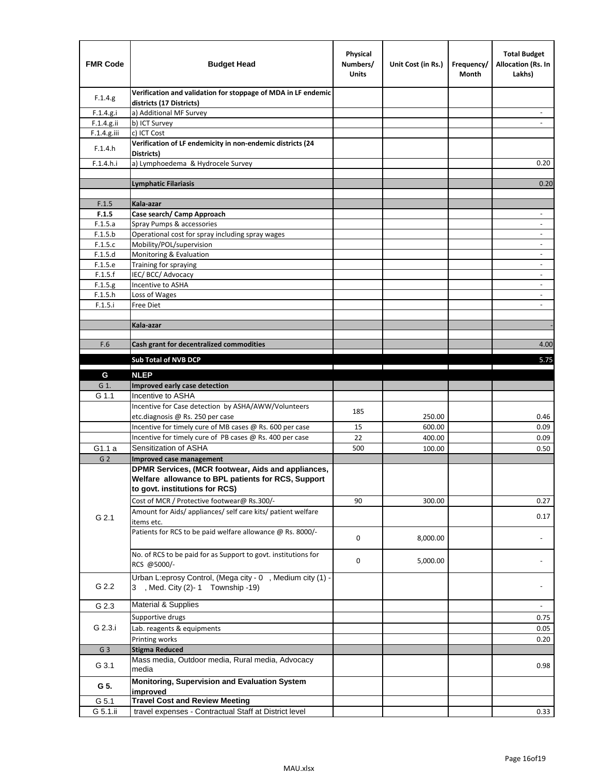| <b>FMR Code</b>    | <b>Budget Head</b>                                                                           | Physical<br>Numbers/<br>Units | Unit Cost (in Rs.) | Frequency/<br>Month | <b>Total Budget</b><br><b>Allocation (Rs. In</b><br>Lakhs) |
|--------------------|----------------------------------------------------------------------------------------------|-------------------------------|--------------------|---------------------|------------------------------------------------------------|
| F.1.4.g.           | Verification and validation for stoppage of MDA in LF endemic<br>districts (17 Districts)    |                               |                    |                     |                                                            |
| F.1.4.g.i          | a) Additional MF Survey                                                                      |                               |                    |                     |                                                            |
| F.1.4.g.ii         | b) ICT Survey                                                                                |                               |                    |                     |                                                            |
| F.1.4.g.iii        | c) ICT Cost                                                                                  |                               |                    |                     |                                                            |
| F.1.4.h            | Verification of LF endemicity in non-endemic districts (24<br>Districts)                     |                               |                    |                     |                                                            |
| F.1.4.h.i          | a) Lymphoedema & Hydrocele Survey                                                            |                               |                    |                     | 0.20                                                       |
|                    | <b>Lymphatic Filariasis</b>                                                                  |                               |                    |                     | 0.20                                                       |
|                    |                                                                                              |                               |                    |                     |                                                            |
| F.1.5              | Kala-azar                                                                                    |                               |                    |                     |                                                            |
| F.1.5              | Case search/ Camp Approach                                                                   |                               |                    |                     | $\overline{\phantom{a}}$                                   |
| F.1.5.a            | Spray Pumps & accessories                                                                    |                               |                    |                     | $\overline{\phantom{a}}$                                   |
| F.1.5.b            | Operational cost for spray including spray wages                                             |                               |                    |                     |                                                            |
| F.1.5.c            | Mobility/POL/supervision                                                                     |                               |                    |                     | $\overline{\phantom{a}}$                                   |
| F.1.5.d            | Monitoring & Evaluation                                                                      |                               |                    |                     |                                                            |
| F.1.5.e            | Training for spraying                                                                        |                               |                    |                     | $\blacksquare$                                             |
| F.1.5.f            | IEC/BCC/Advocacy<br>Incentive to ASHA                                                        |                               |                    |                     | $\overline{\phantom{a}}$                                   |
| F.1.5.g<br>F.1.5.h | Loss of Wages                                                                                |                               |                    |                     | $\overline{\phantom{a}}$                                   |
| F.1.5.i            | Free Diet                                                                                    |                               |                    |                     |                                                            |
|                    |                                                                                              |                               |                    |                     |                                                            |
|                    | Kala-azar                                                                                    |                               |                    |                     |                                                            |
|                    |                                                                                              |                               |                    |                     |                                                            |
| F.6                | Cash grant for decentralized commodities                                                     |                               |                    |                     | 4.00                                                       |
|                    | Sub Total of NVB DCP                                                                         |                               |                    |                     | 5.75                                                       |
|                    |                                                                                              |                               |                    |                     |                                                            |
| G                  | <b>NLEP</b>                                                                                  |                               |                    |                     |                                                            |
| G 1.               | Improved early case detection                                                                |                               |                    |                     |                                                            |
| G 1.1              | Incentive to ASHA                                                                            |                               |                    |                     |                                                            |
|                    | Incentive for Case detection by ASHA/AWW/Volunteers                                          | 185                           |                    |                     |                                                            |
|                    | etc.diagnosis @ Rs. 250 per case<br>Incentive for timely cure of MB cases @ Rs. 600 per case | 15                            | 250.00<br>600.00   |                     | 0.46<br>0.09                                               |
|                    | Incentive for timely cure of PB cases @ Rs. 400 per case                                     | 22                            | 400.00             |                     | 0.09                                                       |
| G1.1 a             | Sensitization of ASHA                                                                        | 500                           | 100.00             |                     | 0.50                                                       |
| G <sub>2</sub>     | <b>Improved case management</b>                                                              |                               |                    |                     |                                                            |
|                    | DPMR Services, (MCR footwear, Aids and appliances,                                           |                               |                    |                     |                                                            |
|                    | Welfare allowance to BPL patients for RCS, Support                                           |                               |                    |                     |                                                            |
|                    | to govt. institutions for RCS)                                                               |                               |                    |                     |                                                            |
|                    | Cost of MCR / Protective footwear@ Rs.300/-                                                  | 90                            | 300.00             |                     | 0.27                                                       |
|                    | Amount for Aids/ appliances/ self care kits/ patient welfare                                 |                               |                    |                     |                                                            |
| G 2.1              | items etc.                                                                                   |                               |                    |                     | 0.17                                                       |
|                    | Patients for RCS to be paid welfare allowance @ Rs. 8000/-                                   | 0                             | 8,000.00           |                     |                                                            |
|                    | No. of RCS to be paid for as Support to govt. institutions for                               |                               |                    |                     |                                                            |
|                    | RCS @5000/-                                                                                  | 0                             | 5,000.00           |                     |                                                            |
|                    | Urban L:eprosy Control, (Mega city - 0, Medium city (1) -                                    |                               |                    |                     |                                                            |
| G 2.2              | 3 , Med. City (2)-1 Township -19)                                                            |                               |                    |                     |                                                            |
| G 2.3              | Material & Supplies                                                                          |                               |                    |                     | ٠                                                          |
|                    | Supportive drugs                                                                             |                               |                    |                     | 0.75                                                       |
| G 2.3.i            | Lab. reagents & equipments                                                                   |                               |                    |                     | 0.05                                                       |
|                    | Printing works                                                                               |                               |                    |                     | 0.20                                                       |
| G <sub>3</sub>     | <b>Stigma Reduced</b>                                                                        |                               |                    |                     |                                                            |
|                    | Mass media, Outdoor media, Rural media, Advocacy                                             |                               |                    |                     |                                                            |
| G 3.1              | media                                                                                        |                               |                    |                     | 0.98                                                       |
| G 5.               | Monitoring, Supervision and Evaluation System<br>improved                                    |                               |                    |                     |                                                            |
| G 5.1              | <b>Travel Cost and Review Meeting</b>                                                        |                               |                    |                     |                                                            |
| G 5.1.ii           | travel expenses - Contractual Staff at District level                                        |                               |                    |                     | 0.33                                                       |
|                    |                                                                                              |                               |                    |                     |                                                            |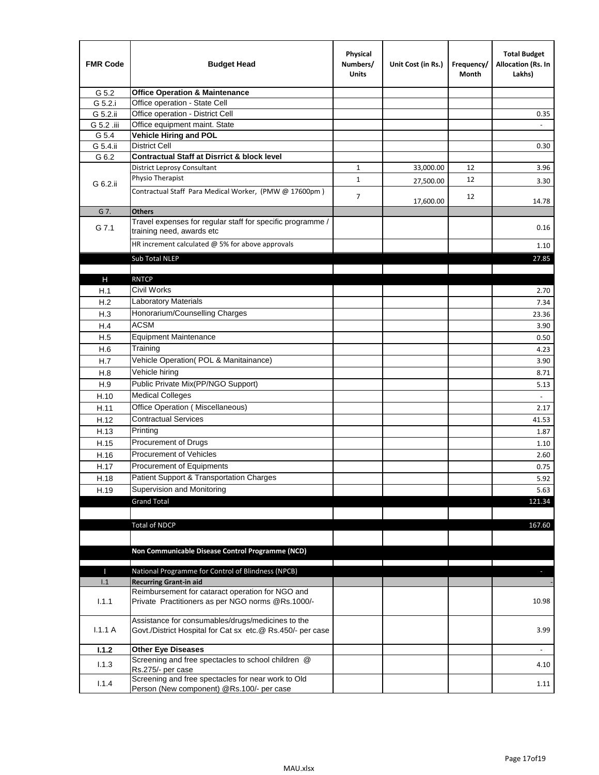| <b>FMR Code</b> | <b>Budget Head</b>                                                                                              | Physical<br>Numbers/<br><b>Units</b> | Unit Cost (in Rs.) | Frequency/<br>Month | <b>Total Budget</b><br>Allocation (Rs. In<br>Lakhs) |
|-----------------|-----------------------------------------------------------------------------------------------------------------|--------------------------------------|--------------------|---------------------|-----------------------------------------------------|
| G 5.2           | <b>Office Operation &amp; Maintenance</b>                                                                       |                                      |                    |                     |                                                     |
| G 5.2.i         | Office operation - State Cell                                                                                   |                                      |                    |                     |                                                     |
| G 5.2.ii        | Office operation - District Cell                                                                                |                                      |                    |                     | 0.35                                                |
| G 5.2 .iii      | Office equipment maint. State                                                                                   |                                      |                    |                     |                                                     |
| G 5.4           | <b>Vehicle Hiring and POL</b>                                                                                   |                                      |                    |                     |                                                     |
| G 5.4.ii        | <b>District Cell</b>                                                                                            |                                      |                    |                     | 0.30                                                |
| G 6.2           | <b>Contractual Staff at Disrrict &amp; block level</b>                                                          |                                      |                    |                     |                                                     |
|                 | <b>District Leprosy Consultant</b>                                                                              | $\mathbf{1}$                         | 33,000.00          | 12                  | 3.96                                                |
| G 6.2.ii        | Physio Therapist                                                                                                | $\mathbf{1}$                         | 27,500.00          | 12                  | 3.30                                                |
|                 | Contractual Staff Para Medical Worker, (PMW @ 17600pm)                                                          | $\overline{7}$                       | 17,600.00          | 12                  | 14.78                                               |
| G 7.            | <b>Others</b>                                                                                                   |                                      |                    |                     |                                                     |
| G 7.1           | Travel expenses for regular staff for specific programme /<br>training need, awards etc                         |                                      |                    |                     | 0.16                                                |
|                 | HR increment calculated $@$ 5% for above approvals                                                              |                                      |                    |                     | 1.10                                                |
|                 | Sub Total NLEP                                                                                                  |                                      |                    |                     | 27.85                                               |
|                 |                                                                                                                 |                                      |                    |                     |                                                     |
| н               | <b>RNTCP</b>                                                                                                    |                                      |                    |                     |                                                     |
| H.1             | Civil Works                                                                                                     |                                      |                    |                     | 2.70                                                |
| H.2             | Laboratory Materials                                                                                            |                                      |                    |                     | 7.34                                                |
| H.3             | Honorarium/Counselling Charges                                                                                  |                                      |                    |                     | 23.36                                               |
| H.4             | <b>ACSM</b>                                                                                                     |                                      |                    |                     | 3.90                                                |
| H.5             | <b>Equipment Maintenance</b>                                                                                    |                                      |                    |                     | 0.50                                                |
| H.6             | Training                                                                                                        |                                      |                    |                     | 4.23                                                |
| H.7             | Vehicle Operation(POL & Manitainance)                                                                           |                                      |                    |                     | 3.90                                                |
| H.8             | Vehicle hiring                                                                                                  |                                      |                    |                     | 8.71                                                |
| H.9             | Public Private Mix(PP/NGO Support)                                                                              |                                      |                    |                     | 5.13                                                |
| H.10            | <b>Medical Colleges</b>                                                                                         |                                      |                    |                     |                                                     |
| H.11            | Office Operation (Miscellaneous)                                                                                |                                      |                    |                     | 2.17                                                |
| H.12            | <b>Contractual Services</b>                                                                                     |                                      |                    |                     | 41.53                                               |
| H.13            | Printing                                                                                                        |                                      |                    |                     | 1.87                                                |
| H.15            | Procurement of Drugs                                                                                            |                                      |                    |                     | 1.10                                                |
| H.16            | Procurement of Vehicles                                                                                         |                                      |                    |                     | 2.60                                                |
| H.17            | Procurement of Equipments                                                                                       |                                      |                    |                     | 0.75                                                |
| H.18            | Patient Support & Transportation Charges                                                                        |                                      |                    |                     | 5.92                                                |
| H.19            | Supervision and Monitoring                                                                                      |                                      |                    |                     | 5.63                                                |
|                 | <b>Grand Total</b>                                                                                              |                                      |                    |                     | 121.34                                              |
|                 |                                                                                                                 |                                      |                    |                     |                                                     |
|                 | <b>Total of NDCP</b>                                                                                            |                                      |                    |                     | 167.60                                              |
|                 |                                                                                                                 |                                      |                    |                     |                                                     |
|                 |                                                                                                                 |                                      |                    |                     |                                                     |
|                 | Non Communicable Disease Control Programme (NCD)                                                                |                                      |                    |                     |                                                     |
| П               | National Programme for Control of Blindness (NPCB)                                                              |                                      |                    |                     | $\overline{\phantom{a}}$                            |
| 1.1             | <b>Recurring Grant-in aid</b>                                                                                   |                                      |                    |                     |                                                     |
|                 | Reimbursement for cataract operation for NGO and                                                                |                                      |                    |                     |                                                     |
| 1.1.1           | Private Practitioners as per NGO norms @Rs.1000/-                                                               |                                      |                    |                     | 10.98                                               |
| 1.1.1A          | Assistance for consumables/drugs/medicines to the<br>Govt./District Hospital for Cat sx etc.@ Rs.450/- per case |                                      |                    |                     | 3.99                                                |
| 1.1.2           | <b>Other Eye Diseases</b>                                                                                       |                                      |                    |                     |                                                     |
| 1.1.3           | Screening and free spectacles to school children @                                                              |                                      |                    |                     |                                                     |
|                 | Rs.275/- per case                                                                                               |                                      |                    |                     | 4.10                                                |
| 1.1.4           | Screening and free spectacles for near work to Old<br>Person (New component) @Rs.100/- per case                 |                                      |                    |                     | 1.11                                                |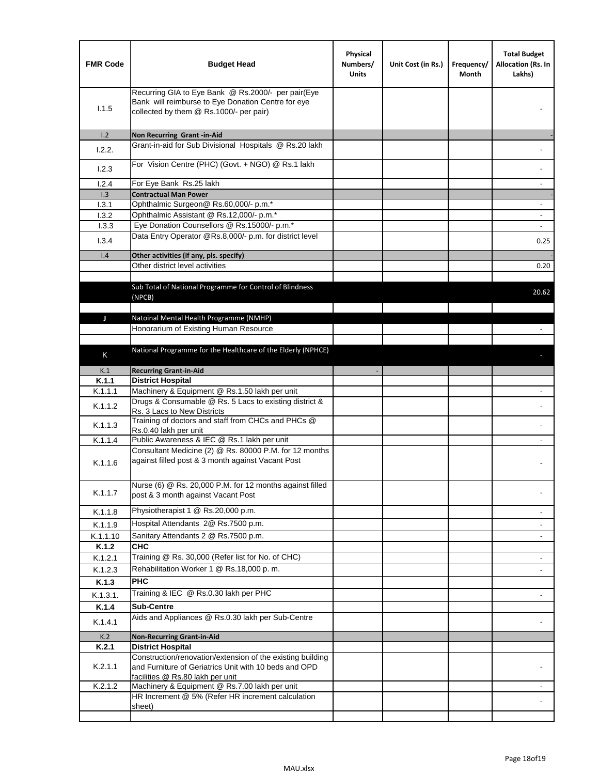| <b>FMR Code</b> | <b>Budget Head</b>                                                                                                                                      | Physical<br>Numbers/<br><b>Units</b> | Unit Cost (in Rs.) | Frequency/<br>Month | <b>Total Budget</b><br>Allocation (Rs. In<br>Lakhs) |
|-----------------|---------------------------------------------------------------------------------------------------------------------------------------------------------|--------------------------------------|--------------------|---------------------|-----------------------------------------------------|
| 1.1.5           | Recurring GIA to Eye Bank @ Rs.2000/- per pair(Eye<br>Bank will reimburse to Eye Donation Centre for eye<br>collected by them @ Rs.1000/- per pair)     |                                      |                    |                     |                                                     |
| 1.2             | Non Recurring Grant -in-Aid                                                                                                                             |                                      |                    |                     |                                                     |
| 1.2.2.          | Grant-in-aid for Sub Divisional Hospitals @ Rs.20 lakh                                                                                                  |                                      |                    |                     |                                                     |
| 1.2.3           | For Vision Centre (PHC) (Govt. + NGO) @ Rs.1 lakh                                                                                                       |                                      |                    |                     |                                                     |
| 1.2.4           | For Eye Bank Rs.25 lakh                                                                                                                                 |                                      |                    |                     | ÷.                                                  |
| 1.3             | <b>Contractual Man Power</b>                                                                                                                            |                                      |                    |                     |                                                     |
| 1.3.1           | Ophthalmic Surgeon@ Rs.60,000/- p.m.*                                                                                                                   |                                      |                    |                     | $\overline{\phantom{a}}$                            |
| 1.3.2           | Ophthalmic Assistant @ Rs.12,000/- p.m.*                                                                                                                |                                      |                    |                     |                                                     |
| 1.3.3           | Eye Donation Counsellors @ Rs.15000/- p.m.*                                                                                                             |                                      |                    |                     | $\overline{\phantom{a}}$                            |
| 1.3.4           | Data Entry Operator @Rs.8,000/- p.m. for district level                                                                                                 |                                      |                    |                     | 0.25                                                |
| 1.4             | Other activities (if any, pls. specify)                                                                                                                 |                                      |                    |                     |                                                     |
|                 | Other district level activities                                                                                                                         |                                      |                    |                     | 0.20                                                |
|                 | Sub Total of National Programme for Control of Blindness<br>(NPCB)                                                                                      |                                      |                    |                     | 20.62                                               |
|                 |                                                                                                                                                         |                                      |                    |                     |                                                     |
| J               | Natoinal Mental Health Programme (NMHP)<br>Honorarium of Existing Human Resource                                                                        |                                      |                    |                     |                                                     |
|                 |                                                                                                                                                         |                                      |                    |                     |                                                     |
|                 | National Programme for the Healthcare of the Elderly (NPHCE)                                                                                            |                                      |                    |                     |                                                     |
| K               |                                                                                                                                                         |                                      |                    |                     |                                                     |
| K.1             | <b>Recurring Grant-in-Aid</b>                                                                                                                           |                                      |                    |                     |                                                     |
| K.1.1           | <b>District Hospital</b>                                                                                                                                |                                      |                    |                     |                                                     |
| K.1.1.1         | Machinery & Equipment @ Rs.1.50 lakh per unit                                                                                                           |                                      |                    |                     |                                                     |
| K.1.1.2         | Drugs & Consumable @ Rs. 5 Lacs to existing district &<br>Rs. 3 Lacs to New Districts                                                                   |                                      |                    |                     |                                                     |
| K.1.1.3         | Training of doctors and staff from CHCs and PHCs @<br>Rs.0.40 lakh per unit                                                                             |                                      |                    |                     |                                                     |
| K.1.1.4         | Public Awareness & IEC @ Rs.1 lakh per unit                                                                                                             |                                      |                    |                     |                                                     |
| K.1.1.6         | Consultant Medicine (2) @ Rs. 80000 P.M. for 12 months<br>against filled post & 3 month against Vacant Post                                             |                                      |                    |                     |                                                     |
| K.1.1.7         | Nurse (6) @ Rs. 20,000 P.M. for 12 months against filled<br>post & 3 month against Vacant Post                                                          |                                      |                    |                     |                                                     |
| K.1.1.8         | Physiotherapist 1 @ Rs.20,000 p.m.                                                                                                                      |                                      |                    |                     |                                                     |
| K.1.1.9         | Hospital Attendants 2@ Rs.7500 p.m.                                                                                                                     |                                      |                    |                     |                                                     |
| K.1.1.10        | Sanitary Attendants 2 @ Rs.7500 p.m.                                                                                                                    |                                      |                    |                     | $\overline{\phantom{a}}$                            |
| K.1.2           | <b>CHC</b>                                                                                                                                              |                                      |                    |                     |                                                     |
| K.1.2.1         | Training @ Rs. 30,000 (Refer list for No. of CHC)                                                                                                       |                                      |                    |                     |                                                     |
| K.1.2.3         | Rehabilitation Worker 1 @ Rs.18,000 p. m.                                                                                                               |                                      |                    |                     |                                                     |
| K.1.3           | <b>PHC</b>                                                                                                                                              |                                      |                    |                     |                                                     |
| K.1.3.1.        | Training & IEC @ Rs.0.30 lakh per PHC                                                                                                                   |                                      |                    |                     |                                                     |
| K.1.4           | <b>Sub-Centre</b>                                                                                                                                       |                                      |                    |                     |                                                     |
|                 | Aids and Appliances @ Rs.0.30 lakh per Sub-Centre                                                                                                       |                                      |                    |                     |                                                     |
| K.1.4.1         |                                                                                                                                                         |                                      |                    |                     |                                                     |
| K.2             | <b>Non-Recurring Grant-in-Aid</b>                                                                                                                       |                                      |                    |                     |                                                     |
| K.2.1           | <b>District Hospital</b>                                                                                                                                |                                      |                    |                     |                                                     |
| K.2.1.1         | Construction/renovation/extension of the existing building<br>and Furniture of Geriatrics Unit with 10 beds and OPD<br>facilities @ Rs.80 lakh per unit |                                      |                    |                     |                                                     |
| K.2.1.2         | Machinery & Equipment @ Rs.7.00 lakh per unit                                                                                                           |                                      |                    |                     |                                                     |
|                 | HR Increment @ 5% (Refer HR increment calculation                                                                                                       |                                      |                    |                     |                                                     |
|                 | sheet)                                                                                                                                                  |                                      |                    |                     |                                                     |